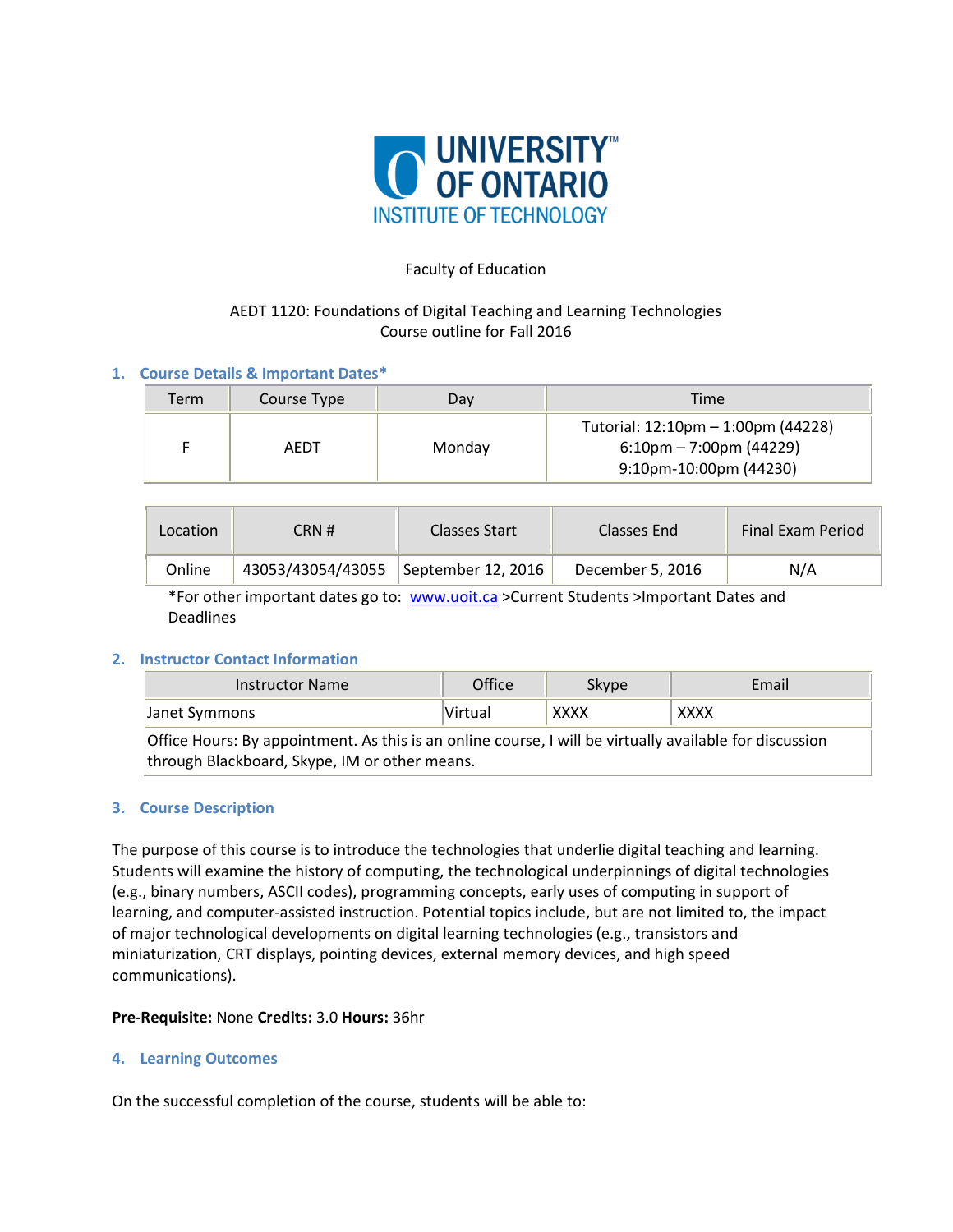

#### Faculty of Education

# AEDT 1120: Foundations of Digital Teaching and Learning Technologies Course outline for Fall 2016

# **1. Course Details & Important Dates\***

| Term | Course Type | Day    | Time                                                                                                         |
|------|-------------|--------|--------------------------------------------------------------------------------------------------------------|
|      | AEDT        | Monday | Tutorial: 12:10pm - 1:00pm (44228)<br>$6:10 \text{pm} - 7:00 \text{pm}$ (44229)<br>$9:10$ pm-10:00pm (44230) |

| Location | CRN#              | Classes Start      | Classes End      | <b>Final Exam Period</b> |
|----------|-------------------|--------------------|------------------|--------------------------|
| Online   | 43053/43054/43055 | September 12, 2016 | December 5, 2016 | N/A                      |

\*For other important dates go to: [www.uoit.ca](http://www.uoit.ca/) >Current Students >Important Dates and Deadlines

# **2. Instructor Contact Information**

| <b>Instructor Name</b>                                                                                  | Office  | Skype       | Email       |  |  |  |
|---------------------------------------------------------------------------------------------------------|---------|-------------|-------------|--|--|--|
| Janet Symmons                                                                                           | Virtual | <b>XXXX</b> | <b>XXXX</b> |  |  |  |
| Office Hours: By appointment. As this is an online course, I will be virtually available for discussion |         |             |             |  |  |  |
| through Blackboard, Skype, IM or other means.                                                           |         |             |             |  |  |  |

#### **3. Course Description**

The purpose of this course is to introduce the technologies that underlie digital teaching and learning. Students will examine the history of computing, the technological underpinnings of digital technologies (e.g., binary numbers, ASCII codes), programming concepts, early uses of computing in support of learning, and computer-assisted instruction. Potential topics include, but are not limited to, the impact of major technological developments on digital learning technologies (e.g., transistors and miniaturization, CRT displays, pointing devices, external memory devices, and high speed communications).

#### **Pre-Requisite:** None **Credits:** 3.0 **Hours:** 36hr

#### **4. Learning Outcomes**

On the successful completion of the course, students will be able to: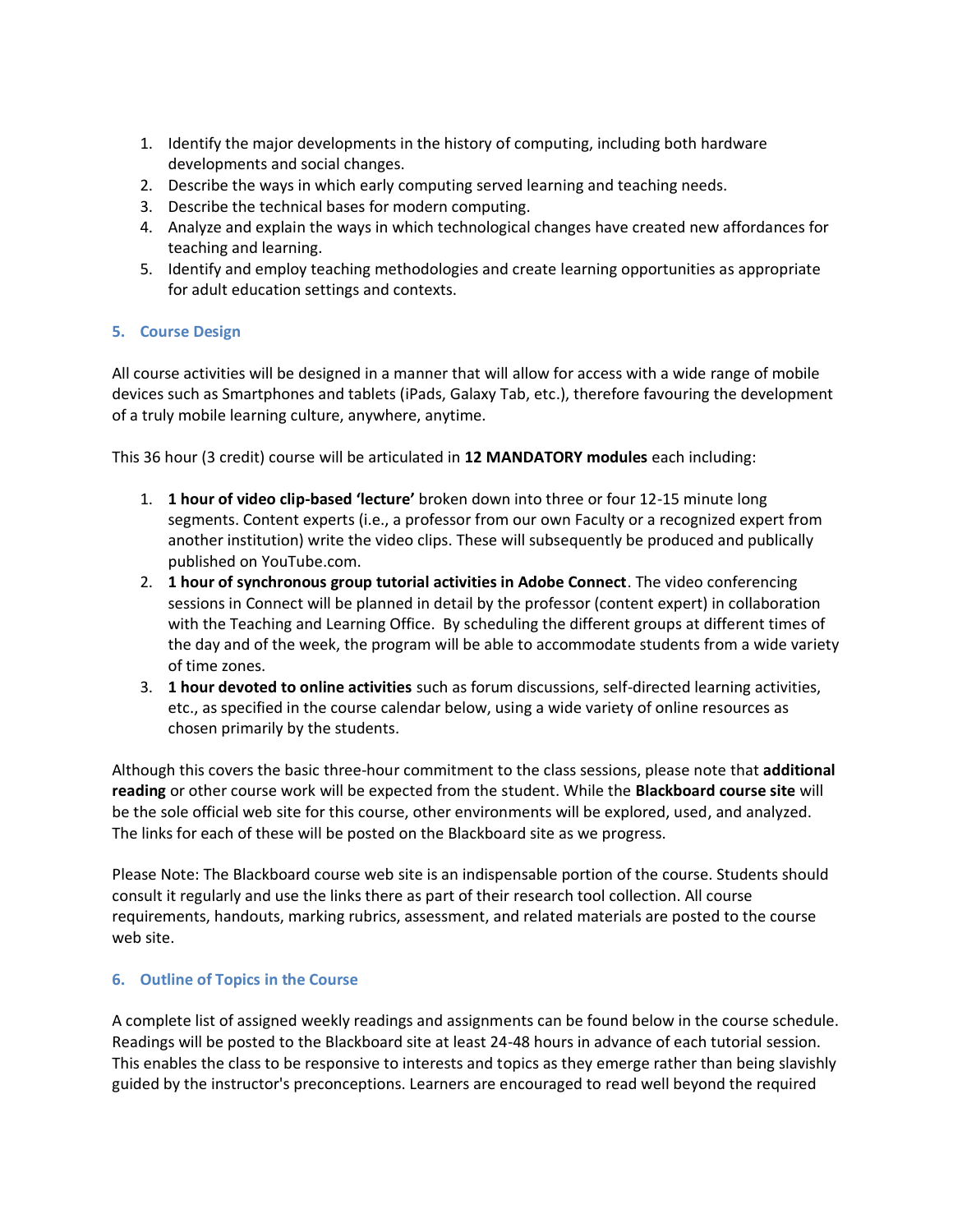- 1. Identify the major developments in the history of computing, including both hardware developments and social changes.
- 2. Describe the ways in which early computing served learning and teaching needs.
- 3. Describe the technical bases for modern computing.
- 4. Analyze and explain the ways in which technological changes have created new affordances for teaching and learning.
- 5. Identify and employ teaching methodologies and create learning opportunities as appropriate for adult education settings and contexts.

# **5. Course Design**

All course activities will be designed in a manner that will allow for access with a wide range of mobile devices such as Smartphones and tablets (iPads, Galaxy Tab, etc.), therefore favouring the development of a truly mobile learning culture, anywhere, anytime.

This 36 hour (3 credit) course will be articulated in **12 MANDATORY modules** each including:

- 1. **1 hour of video clip-based 'lecture'** broken down into three or four 12-15 minute long segments. Content experts (i.e., a professor from our own Faculty or a recognized expert from another institution) write the video clips. These will subsequently be produced and publically published on YouTube.com.
- 2. **1 hour of synchronous group tutorial activities in Adobe Connect**. The video conferencing sessions in Connect will be planned in detail by the professor (content expert) in collaboration with the Teaching and Learning Office. By scheduling the different groups at different times of the day and of the week, the program will be able to accommodate students from a wide variety of time zones.
- 3. **1 hour devoted to online activities** such as forum discussions, self-directed learning activities, etc., as specified in the course calendar below, using a wide variety of online resources as chosen primarily by the students.

Although this covers the basic three-hour commitment to the class sessions, please note that **additional reading** or other course work will be expected from the student. While the **Blackboard course site** will be the sole official web site for this course, other environments will be explored, used, and analyzed. The links for each of these will be posted on the Blackboard site as we progress.

Please Note: The Blackboard course web site is an indispensable portion of the course. Students should consult it regularly and use the links there as part of their research tool collection. All course requirements, handouts, marking rubrics, assessment, and related materials are posted to the course web site.

### **6. Outline of Topics in the Course**

A complete list of assigned weekly readings and assignments can be found below in the course schedule. Readings will be posted to the Blackboard site at least 24-48 hours in advance of each tutorial session. This enables the class to be responsive to interests and topics as they emerge rather than being slavishly guided by the instructor's preconceptions. Learners are encouraged to read well beyond the required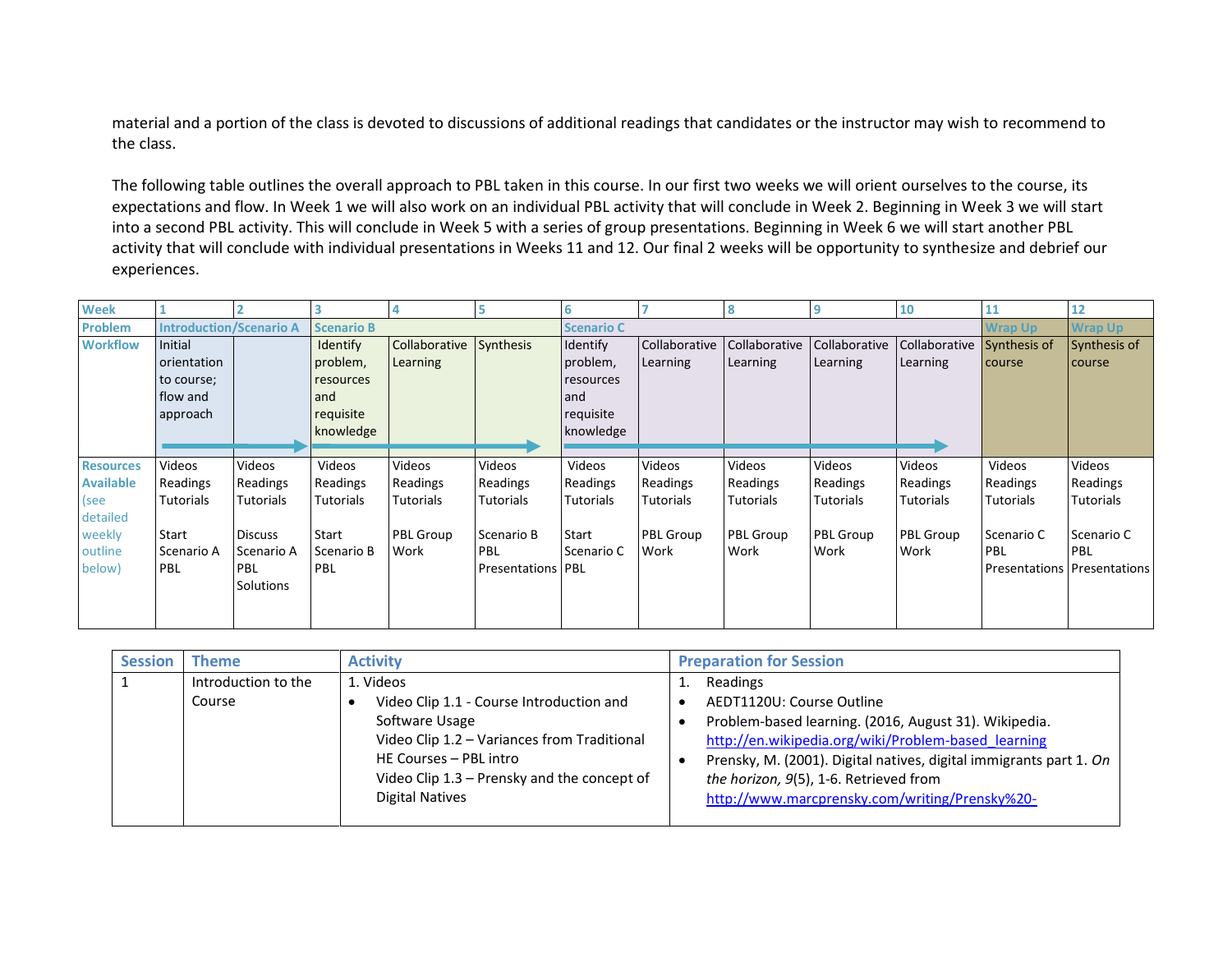material and a portion of the class is devoted to discussions of additional readings that candidates or the instructor may wish to recommend to the class.

The following table outlines the overall approach to PBL taken in this course. In our first two weeks we will orient ourselves to the course, its expectations and flow. In Week 1 we will also work on an individual PBL activity that will conclude in Week 2. Beginning in Week 3 we will start into a second PBL activity. This will conclude in Week 5 with a series of group presentations. Beginning in Week 6 we will start another PBL activity that will conclude with individual presentations in Weeks 11 and 12. Our final 2 weeks will be opportunity to synthesize and debrief our experiences.

| <b>Week</b>      |                                |                  |                   |                         |                            | 6                 |               |                  | q                | <b>10</b>                  | 11               | 12                                 |
|------------------|--------------------------------|------------------|-------------------|-------------------------|----------------------------|-------------------|---------------|------------------|------------------|----------------------------|------------------|------------------------------------|
| <b>Problem</b>   | <b>Introduction/Scenario A</b> |                  | <b>Scenario B</b> |                         |                            | <b>Scenario C</b> |               |                  |                  |                            | <b>Wrap Up</b>   | <b>Wrap Up</b>                     |
| <b>Workflow</b>  | Initial                        |                  | Identify          | Collaborative Synthesis |                            | Identify          | Collaborative | Collaborative    | Collaborative    | Collaborative Synthesis of |                  | Synthesis of                       |
|                  | orientation                    |                  | problem,          | Learning                |                            | problem,          | Learning      | Learning         | Learning         | Learning                   | course           | course                             |
|                  | to course;                     |                  | resources         |                         |                            | resources         |               |                  |                  |                            |                  |                                    |
|                  | flow and                       |                  | and               |                         |                            | and               |               |                  |                  |                            |                  |                                    |
|                  | approach                       |                  | requisite         |                         |                            | requisite         |               |                  |                  |                            |                  |                                    |
|                  |                                |                  | knowledge         |                         |                            | knowledge         |               |                  |                  |                            |                  |                                    |
|                  |                                |                  |                   |                         |                            |                   |               |                  |                  |                            |                  |                                    |
| <b>Resources</b> | Videos                         | Videos           | Videos            | Videos                  | Videos                     | Videos            | Videos        | Videos           | Videos           | Videos                     | Videos           | Videos                             |
| <b>Available</b> | Readings                       | Readings         | Readings          | Readings                | Readings                   | Readings          | Readings      | Readings         | Readings         | Readings                   | Readings         | Readings                           |
| (see             | <b>Tutorials</b>               | Tutorials        | <b>Tutorials</b>  | <b>Tutorials</b>        | <b>Tutorials</b>           | <b>Tutorials</b>  | Tutorials     | <b>Tutorials</b> | <b>Tutorials</b> | Tutorials                  | <b>Tutorials</b> | Tutorials                          |
| detailed         |                                |                  |                   |                         |                            |                   |               |                  |                  |                            |                  |                                    |
| weekly           | Start                          | <b>Discuss</b>   | Start             | PBL Group               | Scenario B                 | Start             | PBL Group     | <b>PBL Group</b> | <b>PBL Group</b> | <b>PBL Group</b>           | Scenario C       | Scenario C                         |
| outline          | Scenario A                     | Scenario A       | Scenario B        | Work                    | PBL                        | l Scenario C      | Work          | Work             | Work             | Work                       | <b>PBL</b>       | <b>PBL</b>                         |
| below)           | PBL                            | <b>PBL</b>       | PBL               |                         | <b>Presentations   PBL</b> |                   |               |                  |                  |                            |                  | <b>Presentations Presentations</b> |
|                  |                                | <b>Solutions</b> |                   |                         |                            |                   |               |                  |                  |                            |                  |                                    |
|                  |                                |                  |                   |                         |                            |                   |               |                  |                  |                            |                  |                                    |
|                  |                                |                  |                   |                         |                            |                   |               |                  |                  |                            |                  |                                    |

| <b>Session</b> | Theme               | <b>Activity</b>                             | <b>Preparation for Session</b>                                     |
|----------------|---------------------|---------------------------------------------|--------------------------------------------------------------------|
|                | Introduction to the | 1. Videos                                   | Readings                                                           |
|                | Course              | Video Clip 1.1 - Course Introduction and    | AEDT1120U: Course Outline                                          |
|                |                     | Software Usage                              | Problem-based learning. (2016, August 31). Wikipedia.              |
|                |                     | Video Clip 1.2 - Variances from Traditional | http://en.wikipedia.org/wiki/Problem-based learning                |
|                |                     | HE Courses - PBL intro                      | Prensky, M. (2001). Digital natives, digital immigrants part 1. On |
|                |                     | Video Clip 1.3 - Prensky and the concept of | the horizon, 9(5), 1-6. Retrieved from                             |
|                |                     | <b>Digital Natives</b>                      | http://www.marcprensky.com/writing/Prensky%20-                     |
|                |                     |                                             |                                                                    |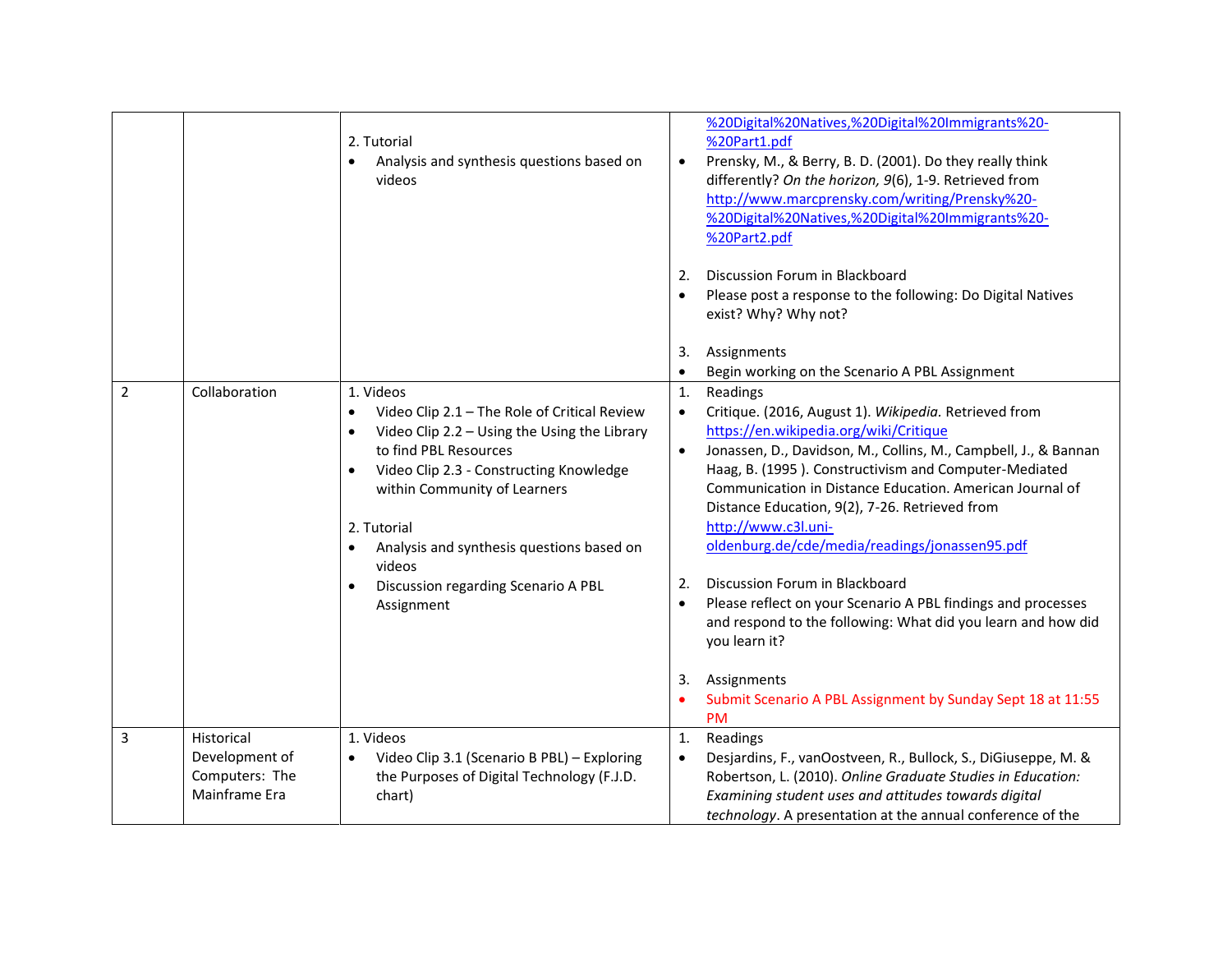|                |                                                                 | 2. Tutorial<br>Analysis and synthesis questions based on<br>$\bullet$<br>videos                                                                                                                                                                                                                                                                                                                           | %20Digital%20Natives,%20Digital%20Immigrants%20-<br>%20Part1.pdf<br>Prensky, M., & Berry, B. D. (2001). Do they really think<br>$\bullet$<br>differently? On the horizon, 9(6), 1-9. Retrieved from<br>http://www.marcprensky.com/writing/Prensky%20-<br>%20Digital%20Natives,%20Digital%20Immigrants%20-<br>%20Part2.pdf<br>Discussion Forum in Blackboard<br>2.<br>Please post a response to the following: Do Digital Natives<br>$\bullet$<br>exist? Why? Why not?<br>3.<br>Assignments                                                                                                                                                                                                                                                                            |
|----------------|-----------------------------------------------------------------|-----------------------------------------------------------------------------------------------------------------------------------------------------------------------------------------------------------------------------------------------------------------------------------------------------------------------------------------------------------------------------------------------------------|-----------------------------------------------------------------------------------------------------------------------------------------------------------------------------------------------------------------------------------------------------------------------------------------------------------------------------------------------------------------------------------------------------------------------------------------------------------------------------------------------------------------------------------------------------------------------------------------------------------------------------------------------------------------------------------------------------------------------------------------------------------------------|
|                |                                                                 |                                                                                                                                                                                                                                                                                                                                                                                                           | Begin working on the Scenario A PBL Assignment<br>$\bullet$                                                                                                                                                                                                                                                                                                                                                                                                                                                                                                                                                                                                                                                                                                           |
| $\overline{2}$ | Collaboration                                                   | 1. Videos<br>Video Clip 2.1 - The Role of Critical Review<br>$\bullet$<br>Video Clip 2.2 - Using the Using the Library<br>$\bullet$<br>to find PBL Resources<br>Video Clip 2.3 - Constructing Knowledge<br>$\bullet$<br>within Community of Learners<br>2. Tutorial<br>Analysis and synthesis questions based on<br>$\bullet$<br>videos<br>Discussion regarding Scenario A PBL<br>$\bullet$<br>Assignment | Readings<br>1.<br>Critique. (2016, August 1). Wikipedia. Retrieved from<br>$\bullet$<br>https://en.wikipedia.org/wiki/Critique<br>Jonassen, D., Davidson, M., Collins, M., Campbell, J., & Bannan<br>$\bullet$<br>Haag, B. (1995). Constructivism and Computer-Mediated<br>Communication in Distance Education. American Journal of<br>Distance Education, 9(2), 7-26. Retrieved from<br>http://www.c3l.uni-<br>oldenburg.de/cde/media/readings/jonassen95.pdf<br>Discussion Forum in Blackboard<br>2.<br>Please reflect on your Scenario A PBL findings and processes<br>$\bullet$<br>and respond to the following: What did you learn and how did<br>you learn it?<br>Assignments<br>3.<br>Submit Scenario A PBL Assignment by Sunday Sept 18 at 11:55<br><b>PM</b> |
| $\mathbf{3}$   | Historical<br>Development of<br>Computers: The<br>Mainframe Era | 1. Videos<br>Video Clip 3.1 (Scenario B PBL) - Exploring<br>$\bullet$<br>the Purposes of Digital Technology (F.J.D.<br>chart)                                                                                                                                                                                                                                                                             | Readings<br>$\mathbf{1}$ .<br>Desjardins, F., vanOostveen, R., Bullock, S., DiGiuseppe, M. &<br>$\bullet$<br>Robertson, L. (2010). Online Graduate Studies in Education:<br>Examining student uses and attitudes towards digital<br>technology. A presentation at the annual conference of the                                                                                                                                                                                                                                                                                                                                                                                                                                                                        |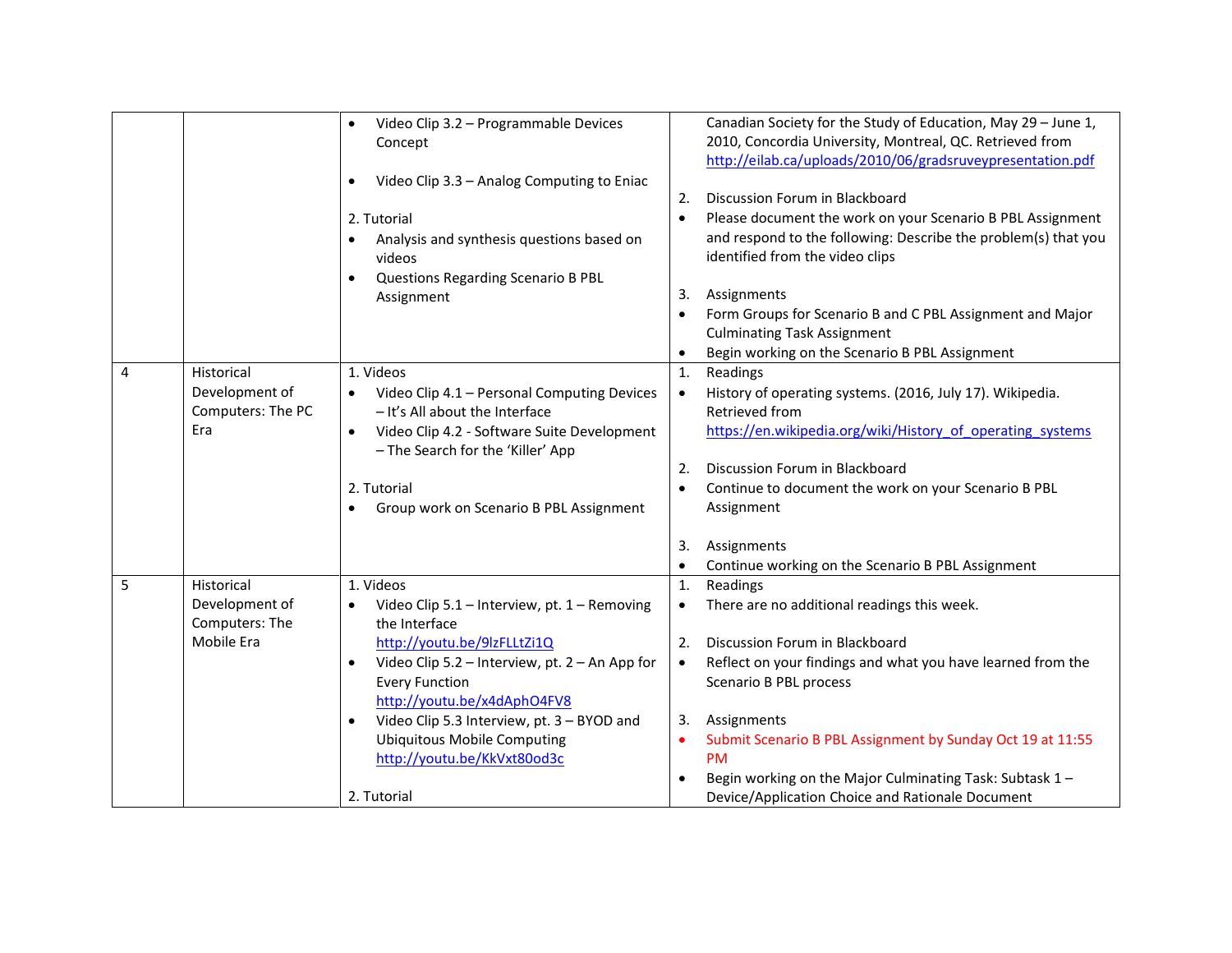|   |                                  | Video Clip 3.2 - Programmable Devices<br>$\bullet$<br>Concept<br>Video Clip 3.3 - Analog Computing to Eniac<br>$\bullet$<br>2. Tutorial<br>Analysis and synthesis questions based on<br>$\bullet$<br>videos<br>Questions Regarding Scenario B PBL<br>Assignment | 2.<br>$\bullet$<br>3.<br>$\bullet$<br>$\bullet$ | Canadian Society for the Study of Education, May 29 - June 1,<br>2010, Concordia University, Montreal, QC. Retrieved from<br>http://eilab.ca/uploads/2010/06/gradsruveypresentation.pdf<br>Discussion Forum in Blackboard<br>Please document the work on your Scenario B PBL Assignment<br>and respond to the following: Describe the problem(s) that you<br>identified from the video clips<br>Assignments<br>Form Groups for Scenario B and C PBL Assignment and Major<br><b>Culminating Task Assignment</b><br>Begin working on the Scenario B PBL Assignment |
|---|----------------------------------|-----------------------------------------------------------------------------------------------------------------------------------------------------------------------------------------------------------------------------------------------------------------|-------------------------------------------------|------------------------------------------------------------------------------------------------------------------------------------------------------------------------------------------------------------------------------------------------------------------------------------------------------------------------------------------------------------------------------------------------------------------------------------------------------------------------------------------------------------------------------------------------------------------|
| 4 | Historical<br>Development of     | 1. Videos<br>Video Clip 4.1 - Personal Computing Devices                                                                                                                                                                                                        | $\mathbf{1}$ .<br>$\bullet$                     | Readings<br>History of operating systems. (2016, July 17). Wikipedia.                                                                                                                                                                                                                                                                                                                                                                                                                                                                                            |
|   | Computers: The PC                | - It's All about the Interface                                                                                                                                                                                                                                  |                                                 | Retrieved from                                                                                                                                                                                                                                                                                                                                                                                                                                                                                                                                                   |
|   | Era                              | Video Clip 4.2 - Software Suite Development<br>$\bullet$                                                                                                                                                                                                        |                                                 | https://en.wikipedia.org/wiki/History of operating systems                                                                                                                                                                                                                                                                                                                                                                                                                                                                                                       |
|   |                                  | - The Search for the 'Killer' App                                                                                                                                                                                                                               |                                                 |                                                                                                                                                                                                                                                                                                                                                                                                                                                                                                                                                                  |
|   |                                  |                                                                                                                                                                                                                                                                 | 2.                                              | Discussion Forum in Blackboard                                                                                                                                                                                                                                                                                                                                                                                                                                                                                                                                   |
|   |                                  | 2. Tutorial<br>Group work on Scenario B PBL Assignment<br>$\bullet$                                                                                                                                                                                             | $\bullet$                                       | Continue to document the work on your Scenario B PBL<br>Assignment                                                                                                                                                                                                                                                                                                                                                                                                                                                                                               |
|   |                                  |                                                                                                                                                                                                                                                                 |                                                 |                                                                                                                                                                                                                                                                                                                                                                                                                                                                                                                                                                  |
|   |                                  |                                                                                                                                                                                                                                                                 | 3.                                              | Assignments                                                                                                                                                                                                                                                                                                                                                                                                                                                                                                                                                      |
|   |                                  |                                                                                                                                                                                                                                                                 | $\bullet$                                       | Continue working on the Scenario B PBL Assignment                                                                                                                                                                                                                                                                                                                                                                                                                                                                                                                |
| 5 | Historical                       | 1. Videos                                                                                                                                                                                                                                                       | 1.                                              | Readings                                                                                                                                                                                                                                                                                                                                                                                                                                                                                                                                                         |
|   | Development of<br>Computers: The | Video Clip 5.1 - Interview, pt. 1 - Removing<br>the Interface                                                                                                                                                                                                   | $\bullet$                                       | There are no additional readings this week.                                                                                                                                                                                                                                                                                                                                                                                                                                                                                                                      |
|   | Mobile Era                       | http://youtu.be/9lzFLLtZi1Q                                                                                                                                                                                                                                     | 2.                                              | Discussion Forum in Blackboard                                                                                                                                                                                                                                                                                                                                                                                                                                                                                                                                   |
|   |                                  | Video Clip 5.2 - Interview, pt. 2 - An App for<br>$\bullet$                                                                                                                                                                                                     | $\bullet$                                       | Reflect on your findings and what you have learned from the                                                                                                                                                                                                                                                                                                                                                                                                                                                                                                      |
|   |                                  | <b>Every Function</b>                                                                                                                                                                                                                                           |                                                 | Scenario B PBL process                                                                                                                                                                                                                                                                                                                                                                                                                                                                                                                                           |
|   |                                  | http://youtu.be/x4dAphO4FV8<br>Video Clip 5.3 Interview, pt. 3 - BYOD and<br>$\bullet$                                                                                                                                                                          | 3.                                              | Assignments                                                                                                                                                                                                                                                                                                                                                                                                                                                                                                                                                      |
|   |                                  | <b>Ubiquitous Mobile Computing</b>                                                                                                                                                                                                                              | $\bullet$                                       | Submit Scenario B PBL Assignment by Sunday Oct 19 at 11:55                                                                                                                                                                                                                                                                                                                                                                                                                                                                                                       |
|   |                                  | http://youtu.be/KkVxt80od3c                                                                                                                                                                                                                                     |                                                 | <b>PM</b>                                                                                                                                                                                                                                                                                                                                                                                                                                                                                                                                                        |
|   |                                  |                                                                                                                                                                                                                                                                 | $\bullet$                                       | Begin working on the Major Culminating Task: Subtask 1-                                                                                                                                                                                                                                                                                                                                                                                                                                                                                                          |
|   |                                  | 2. Tutorial                                                                                                                                                                                                                                                     |                                                 | Device/Application Choice and Rationale Document                                                                                                                                                                                                                                                                                                                                                                                                                                                                                                                 |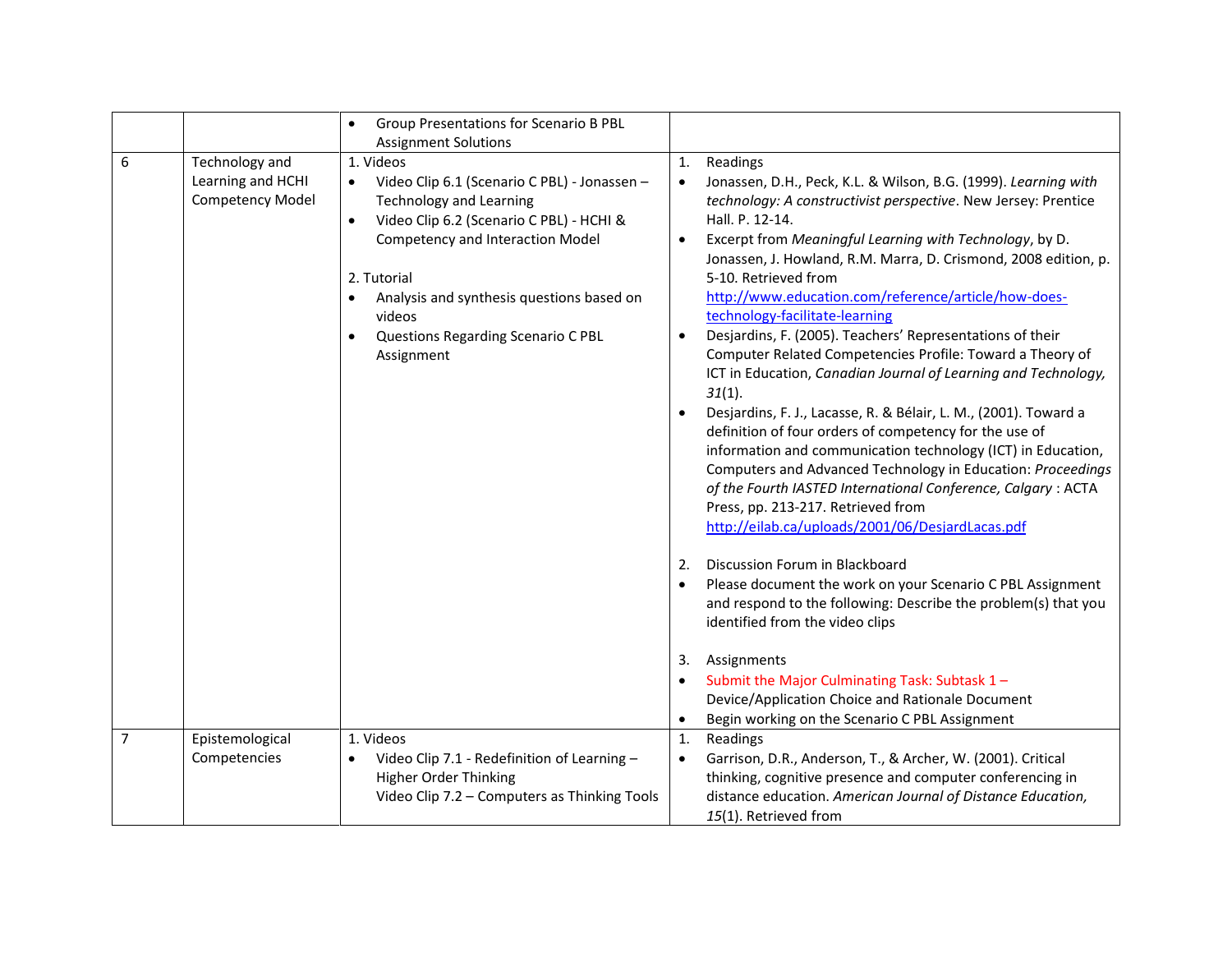|                |                                                                | Group Presentations for Scenario B PBL<br>$\bullet$                                                                                                                                                                                                                                                                                                                                             |                                                                                                                                                                                                                                                                                                                                                                                                                                                                                                                                                                                                                                                                                                                                                                                                                                                                                                                                                                                                                                                                                                                                                                                                                                                                                                                                                                                                                                                                                                                                       |
|----------------|----------------------------------------------------------------|-------------------------------------------------------------------------------------------------------------------------------------------------------------------------------------------------------------------------------------------------------------------------------------------------------------------------------------------------------------------------------------------------|---------------------------------------------------------------------------------------------------------------------------------------------------------------------------------------------------------------------------------------------------------------------------------------------------------------------------------------------------------------------------------------------------------------------------------------------------------------------------------------------------------------------------------------------------------------------------------------------------------------------------------------------------------------------------------------------------------------------------------------------------------------------------------------------------------------------------------------------------------------------------------------------------------------------------------------------------------------------------------------------------------------------------------------------------------------------------------------------------------------------------------------------------------------------------------------------------------------------------------------------------------------------------------------------------------------------------------------------------------------------------------------------------------------------------------------------------------------------------------------------------------------------------------------|
| 6              | Technology and<br>Learning and HCHI<br><b>Competency Model</b> | <b>Assignment Solutions</b><br>1. Videos<br>Video Clip 6.1 (Scenario C PBL) - Jonassen -<br>$\bullet$<br><b>Technology and Learning</b><br>Video Clip 6.2 (Scenario C PBL) - HCHI &<br>$\bullet$<br><b>Competency and Interaction Model</b><br>2. Tutorial<br>Analysis and synthesis questions based on<br>$\bullet$<br>videos<br>Questions Regarding Scenario C PBL<br>$\bullet$<br>Assignment | Readings<br>1.<br>Jonassen, D.H., Peck, K.L. & Wilson, B.G. (1999). Learning with<br>$\bullet$<br>technology: A constructivist perspective. New Jersey: Prentice<br>Hall. P. 12-14.<br>Excerpt from Meaningful Learning with Technology, by D.<br>$\bullet$<br>Jonassen, J. Howland, R.M. Marra, D. Crismond, 2008 edition, p.<br>5-10. Retrieved from<br>http://www.education.com/reference/article/how-does-<br>technology-facilitate-learning<br>Desjardins, F. (2005). Teachers' Representations of their<br>$\bullet$<br>Computer Related Competencies Profile: Toward a Theory of<br>ICT in Education, Canadian Journal of Learning and Technology,<br>31(1).<br>Desjardins, F. J., Lacasse, R. & Bélair, L. M., (2001). Toward a<br>$\bullet$<br>definition of four orders of competency for the use of<br>information and communication technology (ICT) in Education,<br>Computers and Advanced Technology in Education: Proceedings<br>of the Fourth IASTED International Conference, Calgary: ACTA<br>Press, pp. 213-217. Retrieved from<br>http://eilab.ca/uploads/2001/06/DesjardLacas.pdf<br>Discussion Forum in Blackboard<br>2.<br>Please document the work on your Scenario C PBL Assignment<br>$\bullet$<br>and respond to the following: Describe the problem(s) that you<br>identified from the video clips<br>3.<br>Assignments<br>Submit the Major Culminating Task: Subtask 1-<br>$\bullet$<br>Device/Application Choice and Rationale Document<br>Begin working on the Scenario C PBL Assignment<br>$\bullet$ |
| $\overline{7}$ | Epistemological<br>Competencies                                | 1. Videos<br>Video Clip 7.1 - Redefinition of Learning -<br>$\bullet$<br><b>Higher Order Thinking</b><br>Video Clip 7.2 - Computers as Thinking Tools                                                                                                                                                                                                                                           | 1.<br>Readings<br>Garrison, D.R., Anderson, T., & Archer, W. (2001). Critical<br>$\bullet$<br>thinking, cognitive presence and computer conferencing in<br>distance education. American Journal of Distance Education,<br>15(1). Retrieved from                                                                                                                                                                                                                                                                                                                                                                                                                                                                                                                                                                                                                                                                                                                                                                                                                                                                                                                                                                                                                                                                                                                                                                                                                                                                                       |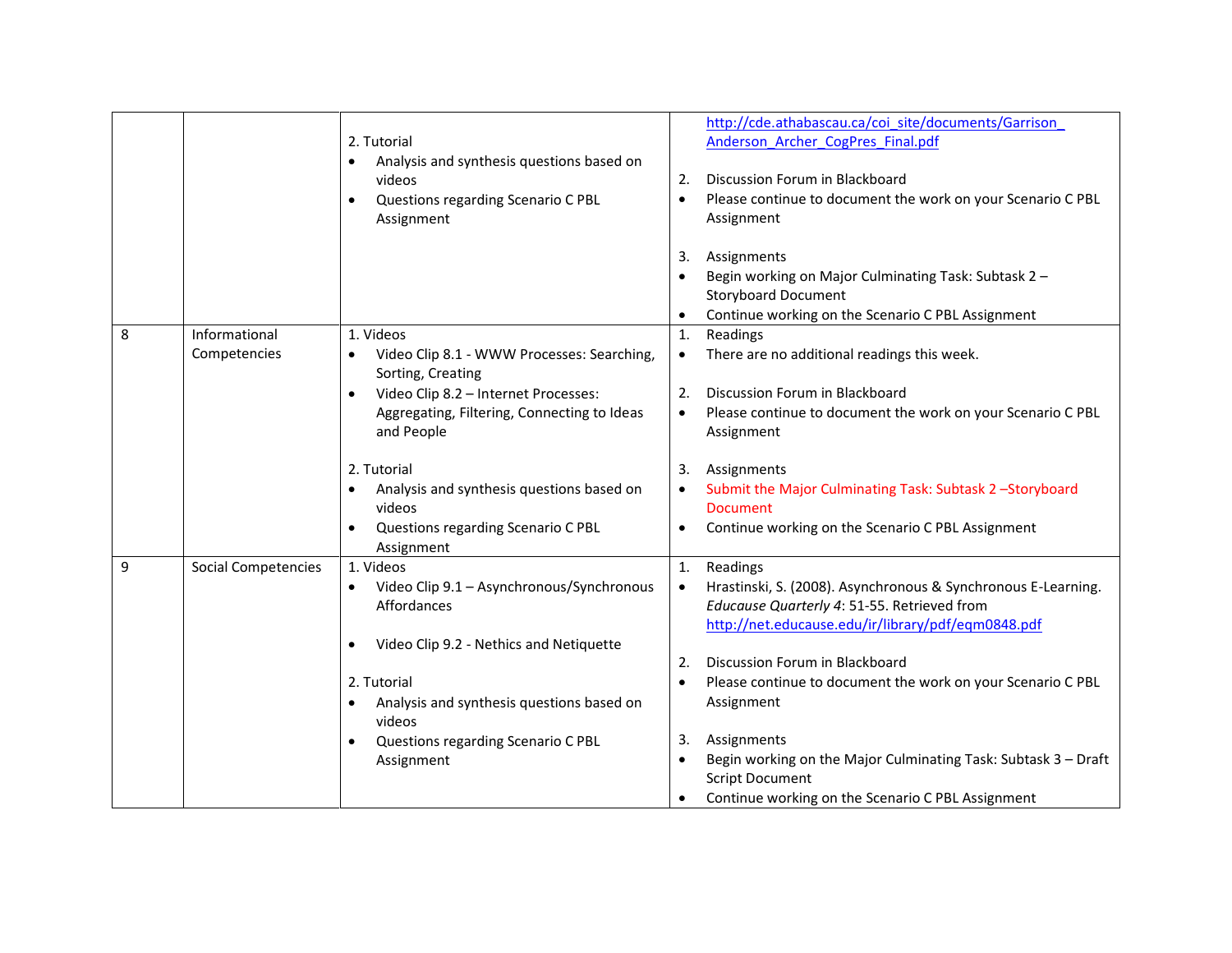|   |                               | 2. Tutorial<br>Analysis and synthesis questions based on<br>$\bullet$<br>videos<br>Questions regarding Scenario C PBL<br>$\bullet$<br>Assignment                                                                                                                                                                                                   | http://cde.athabascau.ca/coi site/documents/Garrison<br>Anderson_Archer_CogPres_Final.pdf<br>Discussion Forum in Blackboard<br>2.<br>Please continue to document the work on your Scenario C PBL<br>$\bullet$<br>Assignment<br>Assignments<br>3.<br>Begin working on Major Culminating Task: Subtask 2 -<br><b>Storyboard Document</b><br>Continue working on the Scenario C PBL Assignment                                                                                                                            |
|---|-------------------------------|----------------------------------------------------------------------------------------------------------------------------------------------------------------------------------------------------------------------------------------------------------------------------------------------------------------------------------------------------|------------------------------------------------------------------------------------------------------------------------------------------------------------------------------------------------------------------------------------------------------------------------------------------------------------------------------------------------------------------------------------------------------------------------------------------------------------------------------------------------------------------------|
| 8 | Informational<br>Competencies | 1. Videos<br>Video Clip 8.1 - WWW Processes: Searching,<br>Sorting, Creating<br>Video Clip 8.2 - Internet Processes:<br>$\bullet$<br>Aggregating, Filtering, Connecting to Ideas<br>and People<br>2. Tutorial<br>Analysis and synthesis questions based on<br>$\bullet$<br>videos<br>Questions regarding Scenario C PBL<br>$\bullet$<br>Assignment | Readings<br>1.<br>There are no additional readings this week.<br>$\bullet$<br>Discussion Forum in Blackboard<br>2.<br>Please continue to document the work on your Scenario C PBL<br>$\bullet$<br>Assignment<br>Assignments<br>3.<br>Submit the Major Culminating Task: Subtask 2-Storyboard<br>$\bullet$<br><b>Document</b><br>Continue working on the Scenario C PBL Assignment<br>$\bullet$                                                                                                                         |
| 9 | <b>Social Competencies</b>    | 1. Videos<br>Video Clip 9.1 - Asynchronous/Synchronous<br>Affordances<br>Video Clip 9.2 - Nethics and Netiquette<br>$\bullet$<br>2. Tutorial<br>Analysis and synthesis questions based on<br>$\bullet$<br>videos<br>Questions regarding Scenario C PBL<br>$\bullet$<br>Assignment                                                                  | Readings<br>1.<br>Hrastinski, S. (2008). Asynchronous & Synchronous E-Learning.<br>$\bullet$<br>Educause Quarterly 4: 51-55. Retrieved from<br>http://net.educause.edu/ir/library/pdf/eqm0848.pdf<br>Discussion Forum in Blackboard<br>2.<br>Please continue to document the work on your Scenario C PBL<br>$\bullet$<br>Assignment<br>Assignments<br>3.<br>Begin working on the Major Culminating Task: Subtask 3 - Draft<br>$\bullet$<br><b>Script Document</b><br>Continue working on the Scenario C PBL Assignment |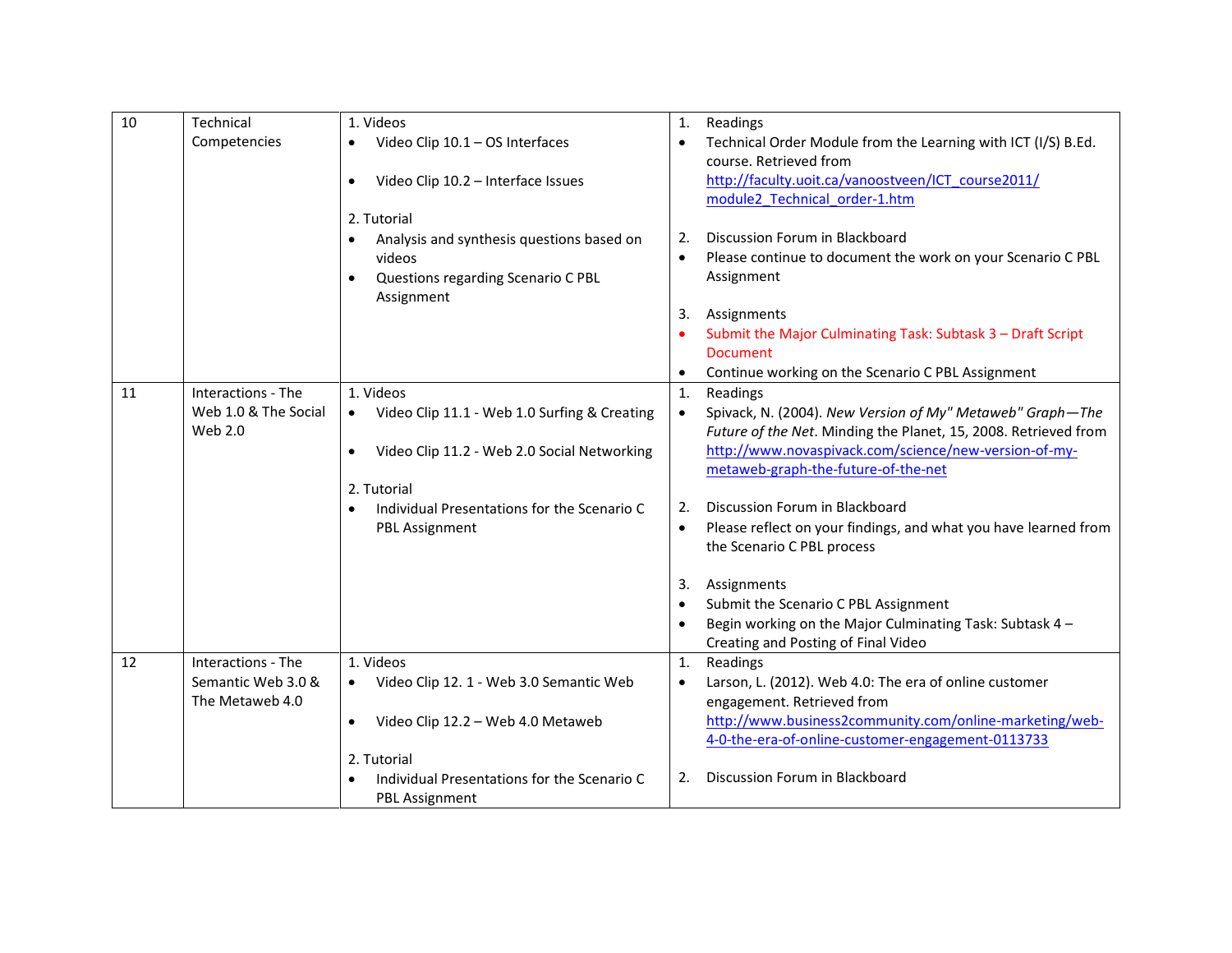| 10 | Technical            | 1. Videos                                                     | 1.             | Readings                                                                                     |
|----|----------------------|---------------------------------------------------------------|----------------|----------------------------------------------------------------------------------------------|
|    | Competencies         | Video Clip 10.1 - OS Interfaces<br>$\bullet$                  | $\bullet$      | Technical Order Module from the Learning with ICT (I/S) B.Ed.<br>course. Retrieved from      |
|    |                      | Video Clip 10.2 - Interface Issues<br>$\bullet$               |                | http://faculty.uoit.ca/vanoostveen/ICT_course2011/                                           |
|    |                      |                                                               |                | module2 Technical order-1.htm                                                                |
|    |                      | 2. Tutorial                                                   |                |                                                                                              |
|    |                      | Analysis and synthesis questions based on<br>$\bullet$        | 2.             | Discussion Forum in Blackboard                                                               |
|    |                      | videos                                                        | $\bullet$      | Please continue to document the work on your Scenario C PBL                                  |
|    |                      | Questions regarding Scenario C PBL<br>$\bullet$<br>Assignment |                | Assignment                                                                                   |
|    |                      |                                                               | 3.             | Assignments                                                                                  |
|    |                      |                                                               |                | Submit the Major Culminating Task: Subtask 3 - Draft Script<br><b>Document</b>               |
|    |                      |                                                               | $\bullet$      | Continue working on the Scenario C PBL Assignment                                            |
| 11 | Interactions - The   | 1. Videos                                                     | 1.             | Readings                                                                                     |
|    | Web 1.0 & The Social | Video Clip 11.1 - Web 1.0 Surfing & Creating<br>$\bullet$     | $\bullet$      | Spivack, N. (2004). New Version of My" Metaweb" Graph-The                                    |
|    | Web 2.0              |                                                               |                | Future of the Net. Minding the Planet, 15, 2008. Retrieved from                              |
|    |                      | Video Clip 11.2 - Web 2.0 Social Networking<br>$\bullet$      |                | http://www.novaspivack.com/science/new-version-of-my-<br>metaweb-graph-the-future-of-the-net |
|    |                      | 2. Tutorial                                                   |                |                                                                                              |
|    |                      | Individual Presentations for the Scenario C<br>$\bullet$      | 2.             | Discussion Forum in Blackboard                                                               |
|    |                      | <b>PBL Assignment</b>                                         | $\bullet$      | Please reflect on your findings, and what you have learned from                              |
|    |                      |                                                               |                | the Scenario C PBL process                                                                   |
|    |                      |                                                               | 3.             | Assignments                                                                                  |
|    |                      |                                                               | $\bullet$      | Submit the Scenario C PBL Assignment                                                         |
|    |                      |                                                               | $\bullet$      | Begin working on the Major Culminating Task: Subtask 4 -                                     |
|    |                      |                                                               |                | Creating and Posting of Final Video                                                          |
| 12 | Interactions - The   | 1. Videos                                                     | $\mathbf{1}$ . | Readings                                                                                     |
|    | Semantic Web 3.0 &   | Video Clip 12. 1 - Web 3.0 Semantic Web<br>$\bullet$          | $\bullet$      | Larson, L. (2012). Web 4.0: The era of online customer                                       |
|    | The Metaweb 4.0      | Video Clip 12.2 - Web 4.0 Metaweb<br>$\bullet$                |                | engagement. Retrieved from<br>http://www.business2community.com/online-marketing/web-        |
|    |                      |                                                               |                | 4-0-the-era-of-online-customer-engagement-0113733                                            |
|    |                      | 2. Tutorial                                                   |                |                                                                                              |
|    |                      | Individual Presentations for the Scenario C                   | 2.             | Discussion Forum in Blackboard                                                               |
|    |                      | <b>PBL Assignment</b>                                         |                |                                                                                              |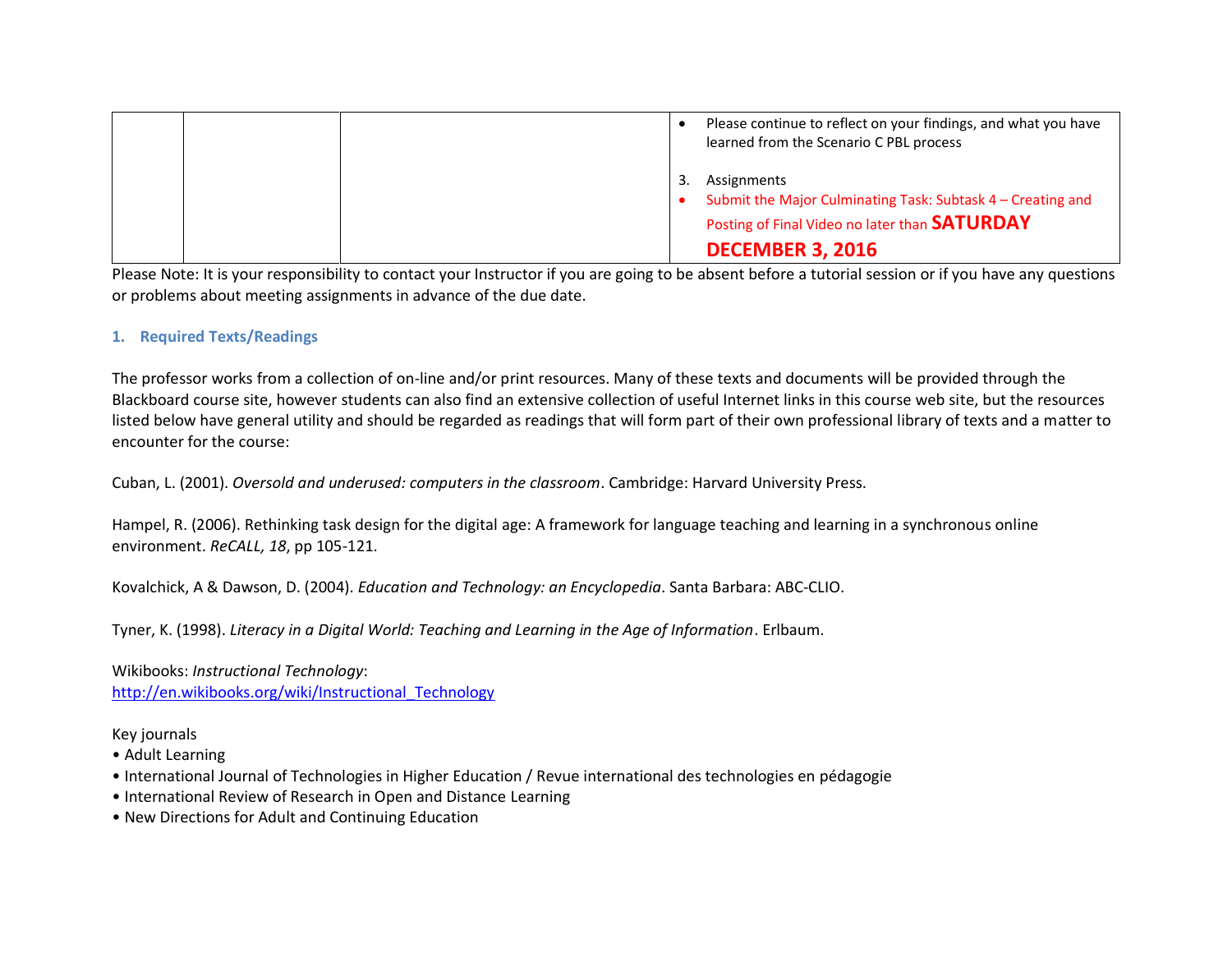|  | Please continue to reflect on your findings, and what you have<br>learned from the Scenario C PBL process                                                     |  |
|--|---------------------------------------------------------------------------------------------------------------------------------------------------------------|--|
|  | Assignments<br>Submit the Major Culminating Task: Subtask 4 – Creating and<br>Posting of Final Video no later than <b>SATURDAY</b><br><b>DECEMBER 3, 2016</b> |  |

Please Note: It is your responsibility to contact your Instructor if you are going to be absent before a tutorial session or if you have any questions or problems about meeting assignments in advance of the due date.

### **1. Required Texts/Readings**

The professor works from a collection of on-line and/or print resources. Many of these texts and documents will be provided through the Blackboard course site, however students can also find an extensive collection of useful Internet links in this course web site, but the resources listed below have general utility and should be regarded as readings that will form part of their own professional library of texts and a matter to encounter for the course:

Cuban, L. (2001). *Oversold and underused: computers in the classroom*. Cambridge: Harvard University Press.

Hampel, R. (2006). Rethinking task design for the digital age: A framework for language teaching and learning in a synchronous online environment. *ReCALL, 18*, pp 105-121.

Kovalchick, A & Dawson, D. (2004). *Education and Technology: an Encyclopedia*. Santa Barbara: ABC-CLIO.

Tyner, K. (1998). *Literacy in a Digital World: Teaching and Learning in the Age of Information*. Erlbaum.

Wikibooks: *Instructional Technology*: [http://en.wikibooks.org/wiki/Instructional\\_Technology](http://en.wikibooks.org/wiki/Instructional_Technology)

Key journals

- Adult Learning
- International Journal of Technologies in Higher Education / Revue international des technologies en pédagogie
- International Review of Research in Open and Distance Learning
- New Directions for Adult and Continuing Education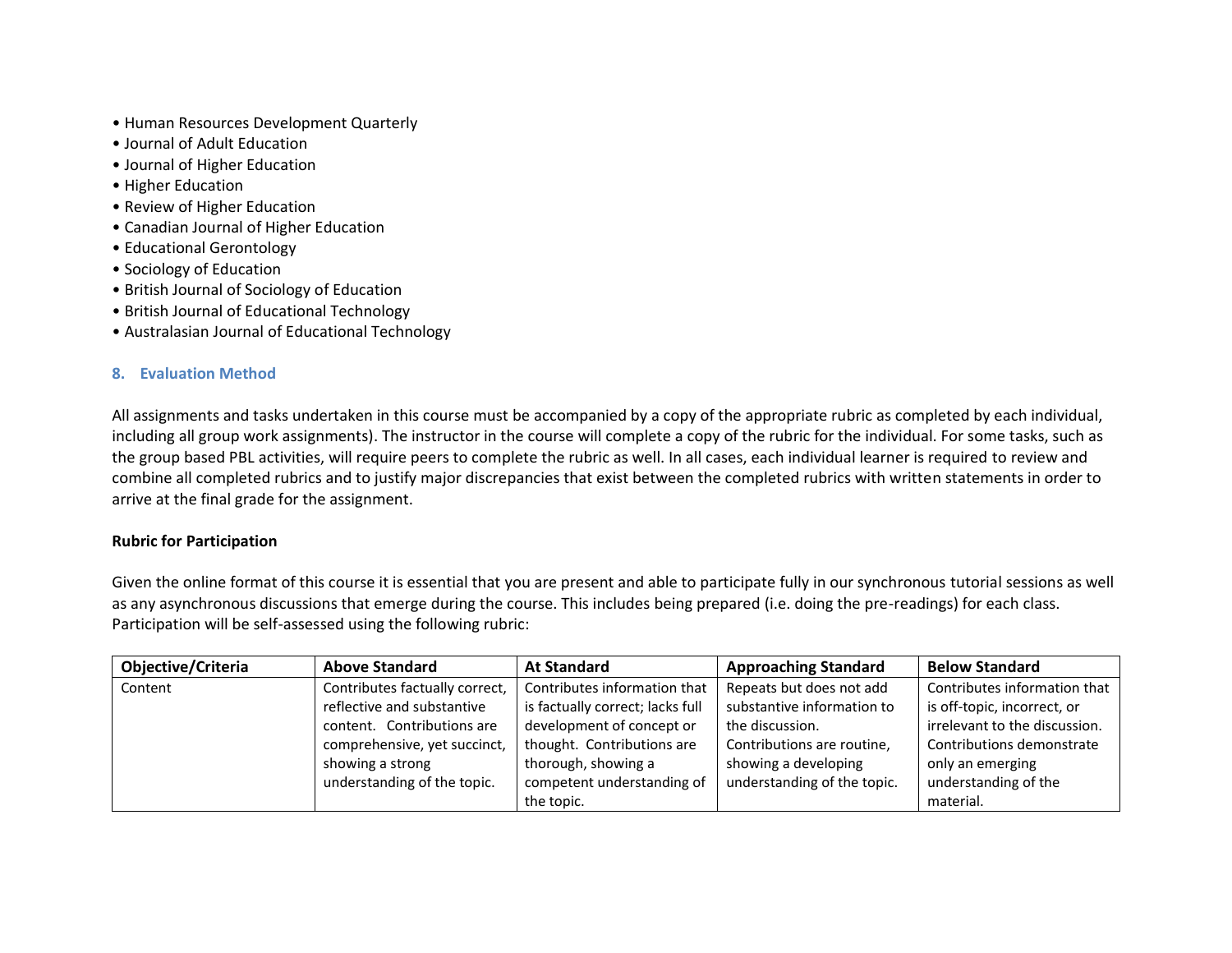- Human Resources Development Quarterly
- Journal of Adult Education
- Journal of Higher Education
- Higher Education
- Review of Higher Education
- Canadian Journal of Higher Education
- Educational Gerontology
- Sociology of Education
- British Journal of Sociology of Education
- British Journal of Educational Technology
- Australasian Journal of Educational Technology

# **8. Evaluation Method**

All assignments and tasks undertaken in this course must be accompanied by a copy of the appropriate rubric as completed by each individual, including all group work assignments). The instructor in the course will complete a copy of the rubric for the individual. For some tasks, such as the group based PBL activities, will require peers to complete the rubric as well. In all cases, each individual learner is required to review and combine all completed rubrics and to justify major discrepancies that exist between the completed rubrics with written statements in order to arrive at the final grade for the assignment.

# **Rubric for Participation**

Given the online format of this course it is essential that you are present and able to participate fully in our synchronous tutorial sessions as well as any asynchronous discussions that emerge during the course. This includes being prepared (i.e. doing the pre-readings) for each class. Participation will be self-assessed using the following rubric:

| Objective/Criteria | <b>Above Standard</b>          | <b>At Standard</b>               | <b>Approaching Standard</b> | <b>Below Standard</b>         |
|--------------------|--------------------------------|----------------------------------|-----------------------------|-------------------------------|
| Content            | Contributes factually correct, | Contributes information that     | Repeats but does not add    | Contributes information that  |
|                    | reflective and substantive     | is factually correct; lacks full | substantive information to  | is off-topic, incorrect, or   |
|                    | content. Contributions are     | development of concept or        | the discussion.             | irrelevant to the discussion. |
|                    | comprehensive, yet succinct,   | thought. Contributions are       | Contributions are routine,  | Contributions demonstrate     |
|                    | showing a strong               | thorough, showing a              | showing a developing        | only an emerging              |
|                    | understanding of the topic.    | competent understanding of       | understanding of the topic. | understanding of the          |
|                    |                                | the topic.                       |                             | material.                     |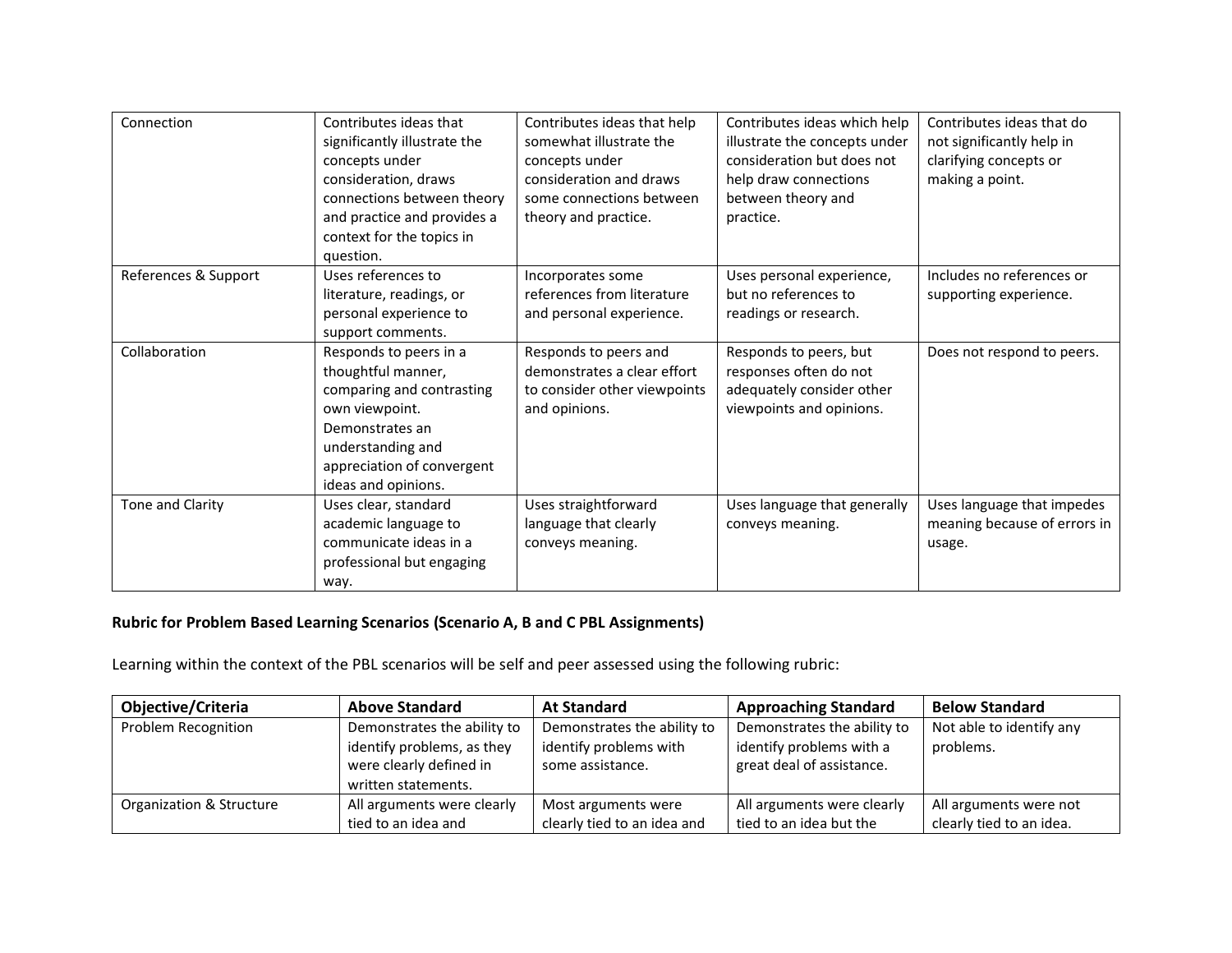| Connection           | Contributes ideas that<br>significantly illustrate the<br>concepts under<br>consideration, draws<br>connections between theory<br>and practice and provides a<br>context for the topics in<br>question. | Contributes ideas that help<br>somewhat illustrate the<br>concepts under<br>consideration and draws<br>some connections between<br>theory and practice. | Contributes ideas which help<br>illustrate the concepts under<br>consideration but does not<br>help draw connections<br>between theory and<br>practice. | Contributes ideas that do<br>not significantly help in<br>clarifying concepts or<br>making a point. |
|----------------------|---------------------------------------------------------------------------------------------------------------------------------------------------------------------------------------------------------|---------------------------------------------------------------------------------------------------------------------------------------------------------|---------------------------------------------------------------------------------------------------------------------------------------------------------|-----------------------------------------------------------------------------------------------------|
| References & Support | Uses references to<br>literature, readings, or<br>personal experience to<br>support comments.                                                                                                           | Incorporates some<br>references from literature<br>and personal experience.                                                                             | Uses personal experience,<br>but no references to<br>readings or research.                                                                              | Includes no references or<br>supporting experience.                                                 |
| Collaboration        | Responds to peers in a<br>thoughtful manner,<br>comparing and contrasting<br>own viewpoint.<br>Demonstrates an<br>understanding and<br>appreciation of convergent<br>ideas and opinions.                | Responds to peers and<br>demonstrates a clear effort<br>to consider other viewpoints<br>and opinions.                                                   | Responds to peers, but<br>responses often do not<br>adequately consider other<br>viewpoints and opinions.                                               | Does not respond to peers.                                                                          |
| Tone and Clarity     | Uses clear, standard<br>academic language to<br>communicate ideas in a<br>professional but engaging<br>way.                                                                                             | Uses straightforward<br>language that clearly<br>conveys meaning.                                                                                       | Uses language that generally<br>conveys meaning.                                                                                                        | Uses language that impedes<br>meaning because of errors in<br>usage.                                |

# **Rubric for Problem Based Learning Scenarios (Scenario A, B and C PBL Assignments)**

Learning within the context of the PBL scenarios will be self and peer assessed using the following rubric:

| <b>Objective/Criteria</b> | <b>Above Standard</b>                                                        | <b>At Standard</b>                         | <b>Approaching Standard</b>                           | <b>Below Standard</b>    |
|---------------------------|------------------------------------------------------------------------------|--------------------------------------------|-------------------------------------------------------|--------------------------|
| Problem Recognition       | Demonstrates the ability to                                                  | Demonstrates the ability to                | Demonstrates the ability to                           | Not able to identify any |
|                           | identify problems, as they<br>were clearly defined in<br>written statements. | identify problems with<br>some assistance. | identify problems with a<br>great deal of assistance. | problems.                |
| Organization & Structure  | All arguments were clearly                                                   | Most arguments were                        | All arguments were clearly                            | All arguments were not   |
|                           | tied to an idea and                                                          | clearly tied to an idea and                | tied to an idea but the                               | clearly tied to an idea. |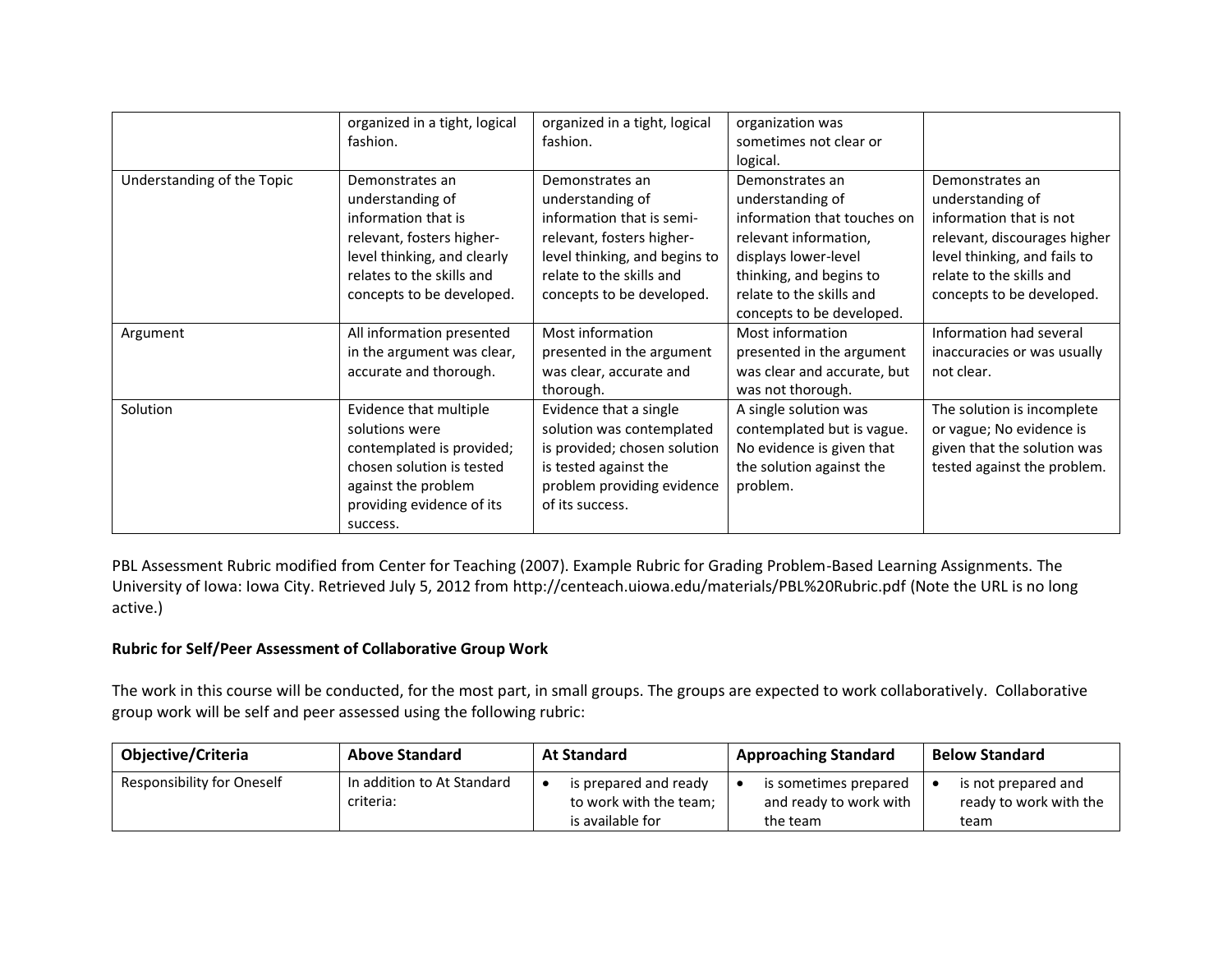|                            | organized in a tight, logical<br>fashion.                                                                                                                                        | organized in a tight, logical<br>fashion.                                                                                                                                               | organization was<br>sometimes not clear or<br>logical.                                                                                                                                                  |                                                                                                                                                                                         |
|----------------------------|----------------------------------------------------------------------------------------------------------------------------------------------------------------------------------|-----------------------------------------------------------------------------------------------------------------------------------------------------------------------------------------|---------------------------------------------------------------------------------------------------------------------------------------------------------------------------------------------------------|-----------------------------------------------------------------------------------------------------------------------------------------------------------------------------------------|
| Understanding of the Topic | Demonstrates an<br>understanding of<br>information that is<br>relevant, fosters higher-<br>level thinking, and clearly<br>relates to the skills and<br>concepts to be developed. | Demonstrates an<br>understanding of<br>information that is semi-<br>relevant, fosters higher-<br>level thinking, and begins to<br>relate to the skills and<br>concepts to be developed. | Demonstrates an<br>understanding of<br>information that touches on<br>relevant information,<br>displays lower-level<br>thinking, and begins to<br>relate to the skills and<br>concepts to be developed. | Demonstrates an<br>understanding of<br>information that is not<br>relevant, discourages higher<br>level thinking, and fails to<br>relate to the skills and<br>concepts to be developed. |
| Argument                   | All information presented<br>in the argument was clear,<br>accurate and thorough.                                                                                                | Most information<br>presented in the argument<br>was clear, accurate and<br>thorough.                                                                                                   | Most information<br>presented in the argument<br>was clear and accurate, but<br>was not thorough.                                                                                                       | Information had several<br>inaccuracies or was usually<br>not clear.                                                                                                                    |
| Solution                   | Evidence that multiple<br>solutions were<br>contemplated is provided;<br>chosen solution is tested<br>against the problem<br>providing evidence of its<br>success.               | Evidence that a single<br>solution was contemplated<br>is provided; chosen solution<br>is tested against the<br>problem providing evidence<br>of its success.                           | A single solution was<br>contemplated but is vague.<br>No evidence is given that<br>the solution against the<br>problem.                                                                                | The solution is incomplete<br>or vague; No evidence is<br>given that the solution was<br>tested against the problem.                                                                    |

PBL Assessment Rubric modified from Center for Teaching (2007). Example Rubric for Grading Problem-Based Learning Assignments. The University of Iowa: Iowa City. Retrieved July 5, 2012 from http://centeach.uiowa.edu/materials/PBL%20Rubric.pdf (Note the URL is no long active.)

# **Rubric for Self/Peer Assessment of Collaborative Group Work**

The work in this course will be conducted, for the most part, in small groups. The groups are expected to work collaboratively. Collaborative group work will be self and peer assessed using the following rubric:

| <b>Objective/Criteria</b>         | <b>Above Standard</b>                   | <b>At Standard</b>                                                  | <b>Approaching Standard</b>                                 | <b>Below Standard</b>                                 |
|-----------------------------------|-----------------------------------------|---------------------------------------------------------------------|-------------------------------------------------------------|-------------------------------------------------------|
| <b>Responsibility for Oneself</b> | In addition to At Standard<br>criteria: | is prepared and ready<br>to work with the team;<br>is available for | is sometimes prepared<br>and ready to work with<br>the team | is not prepared and<br>ready to work with the<br>team |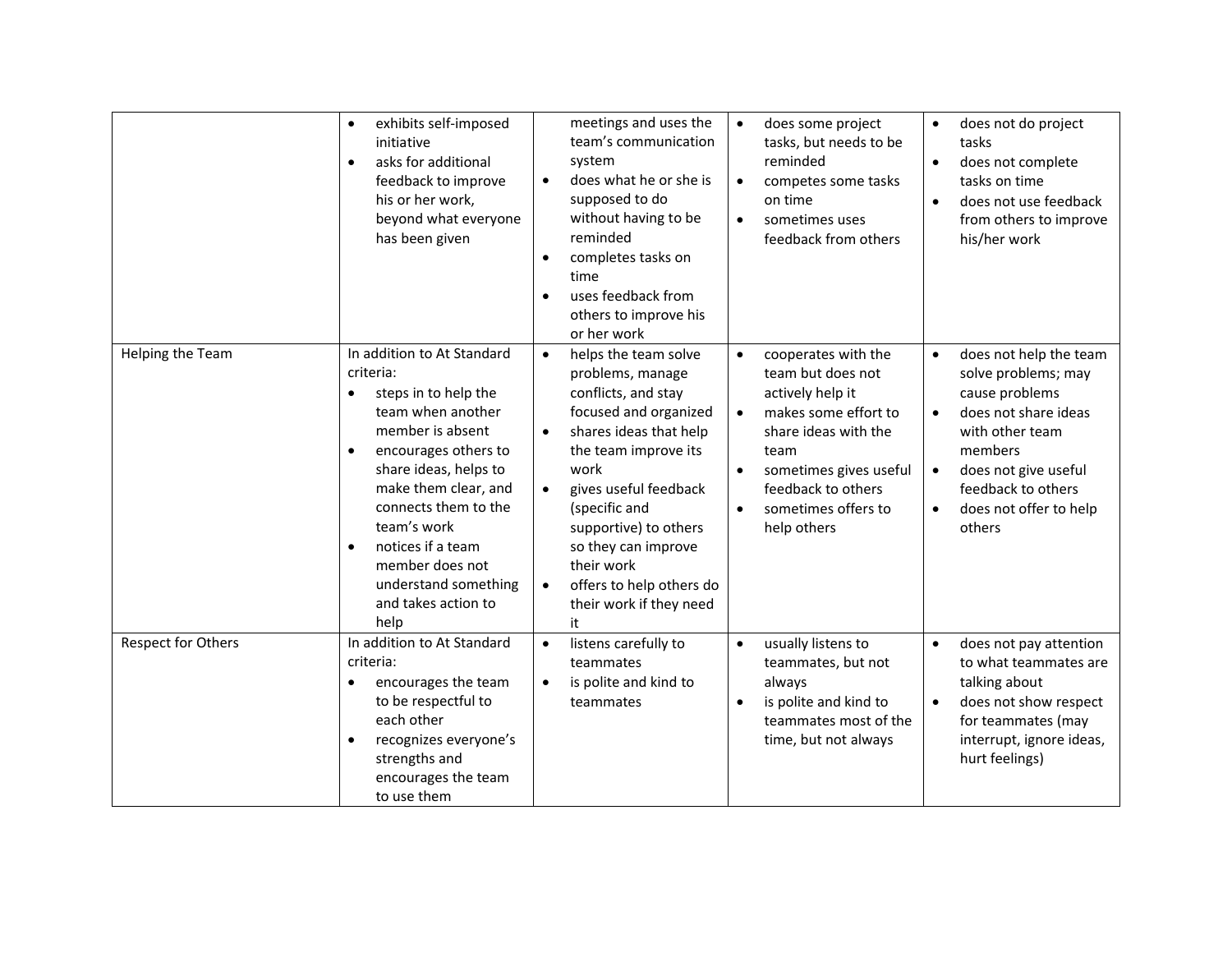|                    | exhibits self-imposed<br>$\bullet$<br>initiative<br>asks for additional<br>$\bullet$<br>feedback to improve<br>his or her work,<br>beyond what everyone<br>has been given                                                                                                                                                                                      | meetings and uses the<br>team's communication<br>system<br>does what he or she is<br>$\bullet$<br>supposed to do<br>without having to be<br>reminded<br>completes tasks on<br>$\bullet$<br>time<br>uses feedback from<br>others to improve his<br>or her work                                                                                                               | does some project<br>$\bullet$<br>tasks, but needs to be<br>reminded<br>competes some tasks<br>$\bullet$<br>on time<br>sometimes uses<br>$\bullet$<br>feedback from others                                                                                     | does not do project<br>$\bullet$<br>tasks<br>does not complete<br>$\bullet$<br>tasks on time<br>does not use feedback<br>from others to improve<br>his/her work                                                                                |
|--------------------|----------------------------------------------------------------------------------------------------------------------------------------------------------------------------------------------------------------------------------------------------------------------------------------------------------------------------------------------------------------|-----------------------------------------------------------------------------------------------------------------------------------------------------------------------------------------------------------------------------------------------------------------------------------------------------------------------------------------------------------------------------|----------------------------------------------------------------------------------------------------------------------------------------------------------------------------------------------------------------------------------------------------------------|------------------------------------------------------------------------------------------------------------------------------------------------------------------------------------------------------------------------------------------------|
| Helping the Team   | In addition to At Standard<br>criteria:<br>steps in to help the<br>$\bullet$<br>team when another<br>member is absent<br>encourages others to<br>$\bullet$<br>share ideas, helps to<br>make them clear, and<br>connects them to the<br>team's work<br>notices if a team<br>$\bullet$<br>member does not<br>understand something<br>and takes action to<br>help | helps the team solve<br>$\bullet$<br>problems, manage<br>conflicts, and stay<br>focused and organized<br>shares ideas that help<br>$\bullet$<br>the team improve its<br>work<br>gives useful feedback<br>$\bullet$<br>(specific and<br>supportive) to others<br>so they can improve<br>their work<br>offers to help others do<br>$\bullet$<br>their work if they need<br>it | cooperates with the<br>$\bullet$<br>team but does not<br>actively help it<br>makes some effort to<br>$\bullet$<br>share ideas with the<br>team<br>sometimes gives useful<br>$\bullet$<br>feedback to others<br>sometimes offers to<br>$\bullet$<br>help others | does not help the team<br>$\bullet$<br>solve problems; may<br>cause problems<br>does not share ideas<br>$\bullet$<br>with other team<br>members<br>does not give useful<br>feedback to others<br>does not offer to help<br>$\bullet$<br>others |
| Respect for Others | In addition to At Standard<br>criteria:<br>encourages the team<br>$\bullet$<br>to be respectful to<br>each other<br>recognizes everyone's<br>$\bullet$<br>strengths and<br>encourages the team<br>to use them                                                                                                                                                  | listens carefully to<br>$\bullet$<br>teammates<br>is polite and kind to<br>$\bullet$<br>teammates                                                                                                                                                                                                                                                                           | usually listens to<br>$\bullet$<br>teammates, but not<br>always<br>is polite and kind to<br>$\bullet$<br>teammates most of the<br>time, but not always                                                                                                         | does not pay attention<br>$\bullet$<br>to what teammates are<br>talking about<br>does not show respect<br>$\bullet$<br>for teammates (may<br>interrupt, ignore ideas,<br>hurt feelings)                                                        |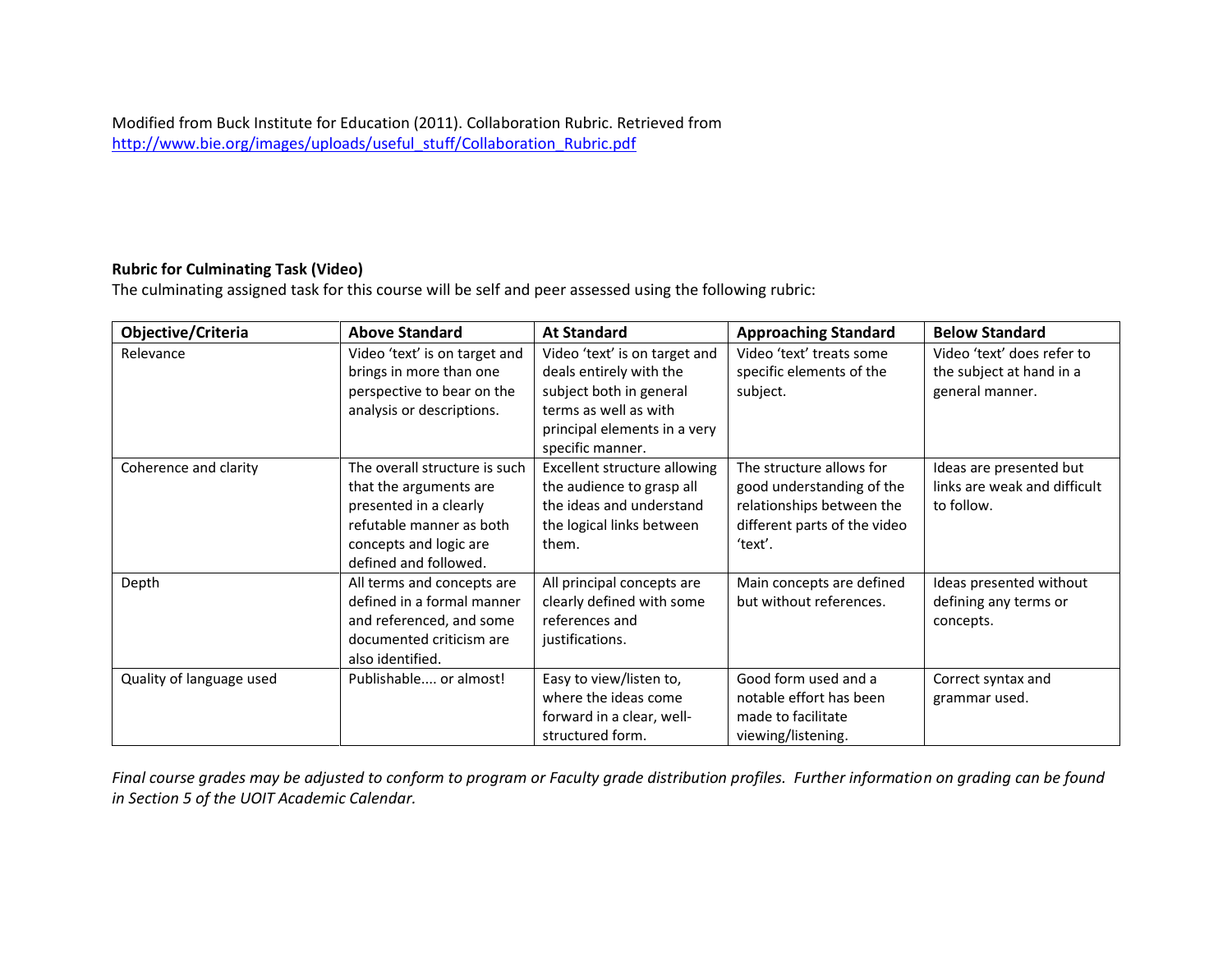#### **Rubric for Culminating Task (Video)**

The culminating assigned task for this course will be self and peer assessed using the following rubric:

| Objective/Criteria       | <b>Above Standard</b>                                                                                                                                            | <b>At Standard</b>                                                                                                                                               | <b>Approaching Standard</b>                                                                                                   | <b>Below Standard</b>                                                     |
|--------------------------|------------------------------------------------------------------------------------------------------------------------------------------------------------------|------------------------------------------------------------------------------------------------------------------------------------------------------------------|-------------------------------------------------------------------------------------------------------------------------------|---------------------------------------------------------------------------|
| Relevance                | Video 'text' is on target and<br>brings in more than one<br>perspective to bear on the<br>analysis or descriptions.                                              | Video 'text' is on target and<br>deals entirely with the<br>subject both in general<br>terms as well as with<br>principal elements in a very<br>specific manner. | Video 'text' treats some<br>specific elements of the<br>subject.                                                              | Video 'text' does refer to<br>the subject at hand in a<br>general manner. |
| Coherence and clarity    | The overall structure is such<br>that the arguments are<br>presented in a clearly<br>refutable manner as both<br>concepts and logic are<br>defined and followed. | Excellent structure allowing<br>the audience to grasp all<br>the ideas and understand<br>the logical links between<br>them.                                      | The structure allows for<br>good understanding of the<br>relationships between the<br>different parts of the video<br>'text'. | Ideas are presented but<br>links are weak and difficult<br>to follow.     |
| Depth                    | All terms and concepts are<br>defined in a formal manner<br>and referenced, and some<br>documented criticism are<br>also identified.                             | All principal concepts are<br>clearly defined with some<br>references and<br>justifications.                                                                     | Main concepts are defined<br>but without references.                                                                          | Ideas presented without<br>defining any terms or<br>concepts.             |
| Quality of language used | Publishable or almost!                                                                                                                                           | Easy to view/listen to,<br>where the ideas come<br>forward in a clear, well-<br>structured form.                                                                 | Good form used and a<br>notable effort has been<br>made to facilitate<br>viewing/listening.                                   | Correct syntax and<br>grammar used.                                       |

*Final course grades may be adjusted to conform to program or Faculty grade distribution profiles. Further information on grading can be found in Section 5 of the UOIT Academic Calendar.*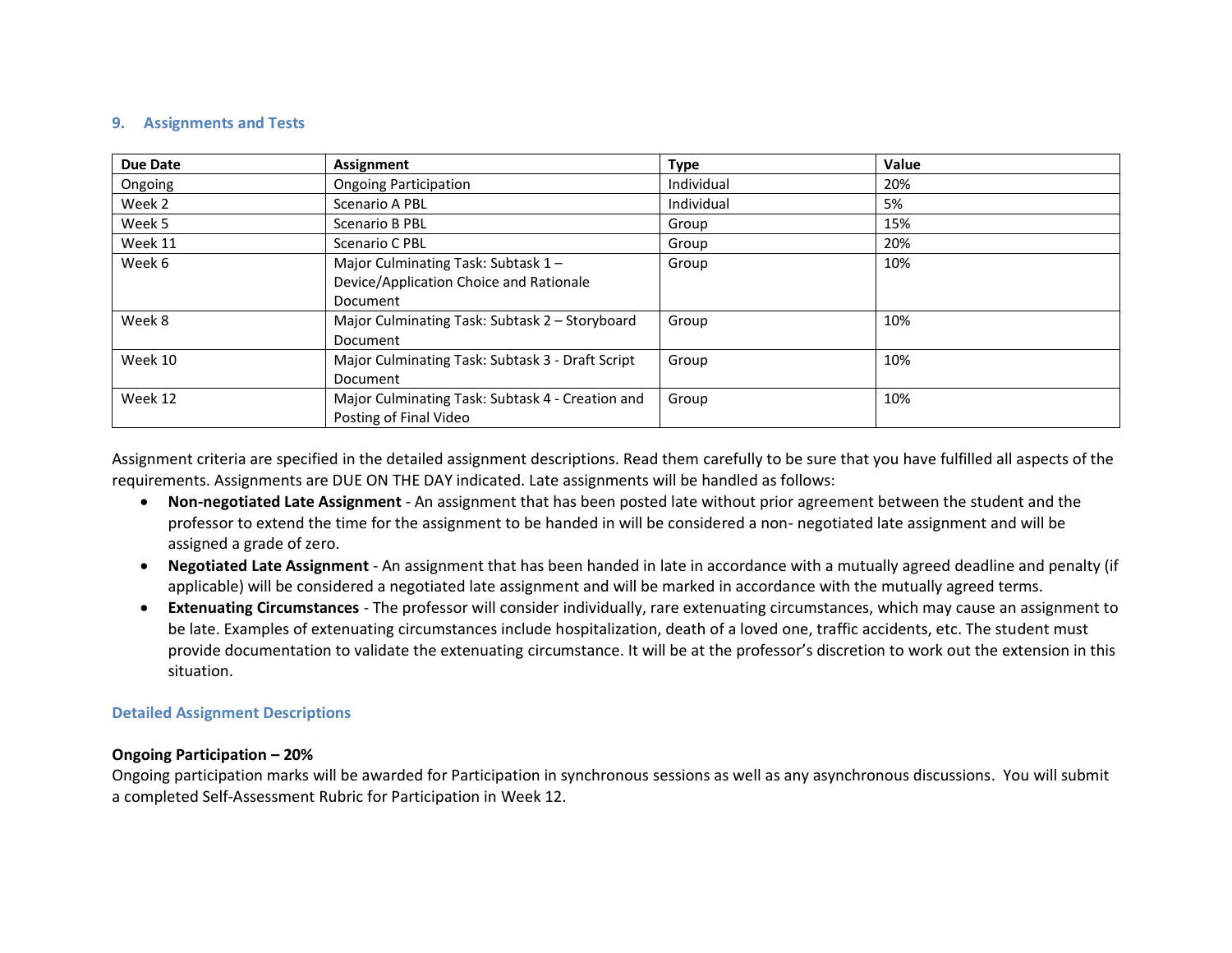#### **9. Assignments and Tests**

| Due Date | Assignment                                                                    | <b>Type</b> | Value |
|----------|-------------------------------------------------------------------------------|-------------|-------|
| Ongoing  | <b>Ongoing Participation</b>                                                  | Individual  | 20%   |
| Week 2   | Scenario A PBL                                                                | Individual  | 5%    |
| Week 5   | Scenario B PBL                                                                | Group       | 15%   |
| Week 11  | Scenario C PBL                                                                | Group       | 20%   |
| Week 6   | Major Culminating Task: Subtask 1-<br>Device/Application Choice and Rationale | Group       | 10%   |
|          | Document                                                                      |             |       |
| Week 8   | Major Culminating Task: Subtask 2 – Storyboard<br>Document                    | Group       | 10%   |
| Week 10  | Major Culminating Task: Subtask 3 - Draft Script<br>Document                  | Group       | 10%   |
| Week 12  | Major Culminating Task: Subtask 4 - Creation and<br>Posting of Final Video    | Group       | 10%   |

Assignment criteria are specified in the detailed assignment descriptions. Read them carefully to be sure that you have fulfilled all aspects of the requirements. Assignments are DUE ON THE DAY indicated. Late assignments will be handled as follows:

- **Non-negotiated Late Assignment** An assignment that has been posted late without prior agreement between the student and the professor to extend the time for the assignment to be handed in will be considered a non- negotiated late assignment and will be assigned a grade of zero.
- **Negotiated Late Assignment** An assignment that has been handed in late in accordance with a mutually agreed deadline and penalty (if applicable) will be considered a negotiated late assignment and will be marked in accordance with the mutually agreed terms.
- **Extenuating Circumstances** The professor will consider individually, rare extenuating circumstances, which may cause an assignment to be late. Examples of extenuating circumstances include hospitalization, death of a loved one, traffic accidents, etc. The student must provide documentation to validate the extenuating circumstance. It will be at the professor's discretion to work out the extension in this situation.

### **Detailed Assignment Descriptions**

#### **Ongoing Participation – 20%**

Ongoing participation marks will be awarded for Participation in synchronous sessions as well as any asynchronous discussions. You will submit a completed Self-Assessment Rubric for Participation in Week 12.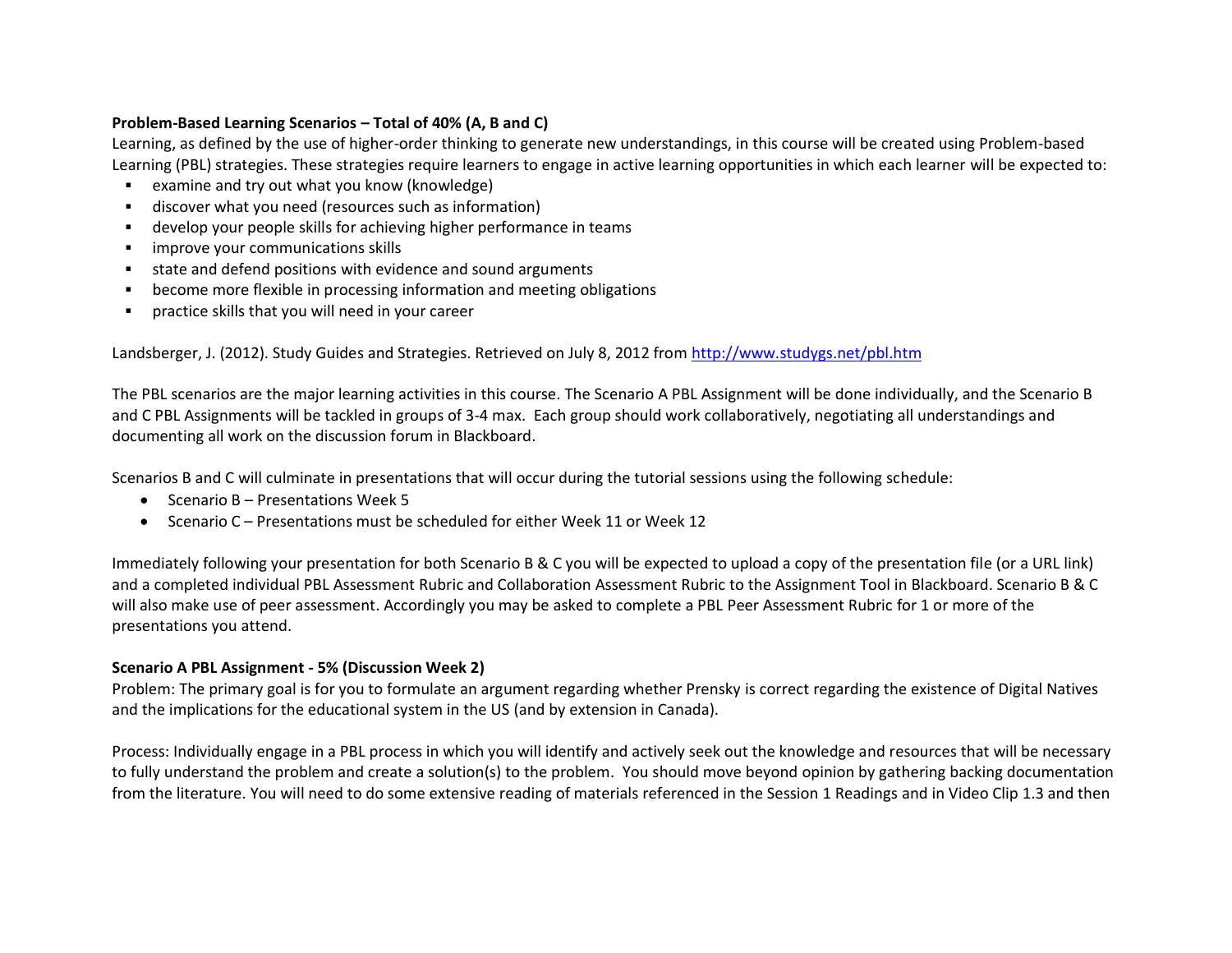# **Problem-Based Learning Scenarios – Total of 40% (A, B and C)**

Learning, as defined by the use of higher-order thinking to generate new understandings, in this course will be created using Problem-based Learning (PBL) strategies. These strategies require learners to engage in active learning opportunities in which each learner will be expected to:

- examine and try out what you know (knowledge)
- discover what you need (resources such as information)
- develop your people skills for achieving higher performance in teams
- **·** improve your communications skills
- state and defend positions with evidence and sound arguments
- become more flexible in processing information and meeting obligations
- practice skills that you will need in your career

Landsberger, J. (2012). Study Guides and Strategies. Retrieved on July 8, 2012 from<http://www.studygs.net/pbl.htm>

The PBL scenarios are the major learning activities in this course. The Scenario A PBL Assignment will be done individually, and the Scenario B and C PBL Assignments will be tackled in groups of 3-4 max. Each group should work collaboratively, negotiating all understandings and documenting all work on the discussion forum in Blackboard.

Scenarios B and C will culminate in presentations that will occur during the tutorial sessions using the following schedule:

- Scenario B Presentations Week 5
- Scenario C Presentations must be scheduled for either Week 11 or Week 12

Immediately following your presentation for both Scenario B & C you will be expected to upload a copy of the presentation file (or a URL link) and a completed individual PBL Assessment Rubric and Collaboration Assessment Rubric to the Assignment Tool in Blackboard. Scenario B & C will also make use of peer assessment. Accordingly you may be asked to complete a PBL Peer Assessment Rubric for 1 or more of the presentations you attend.

### **Scenario A PBL Assignment - 5% (Discussion Week 2)**

Problem: The primary goal is for you to formulate an argument regarding whether Prensky is correct regarding the existence of Digital Natives and the implications for the educational system in the US (and by extension in Canada).

Process: Individually engage in a PBL process in which you will identify and actively seek out the knowledge and resources that will be necessary to fully understand the problem and create a solution(s) to the problem. You should move beyond opinion by gathering backing documentation from the literature. You will need to do some extensive reading of materials referenced in the Session 1 Readings and in Video Clip 1.3 and then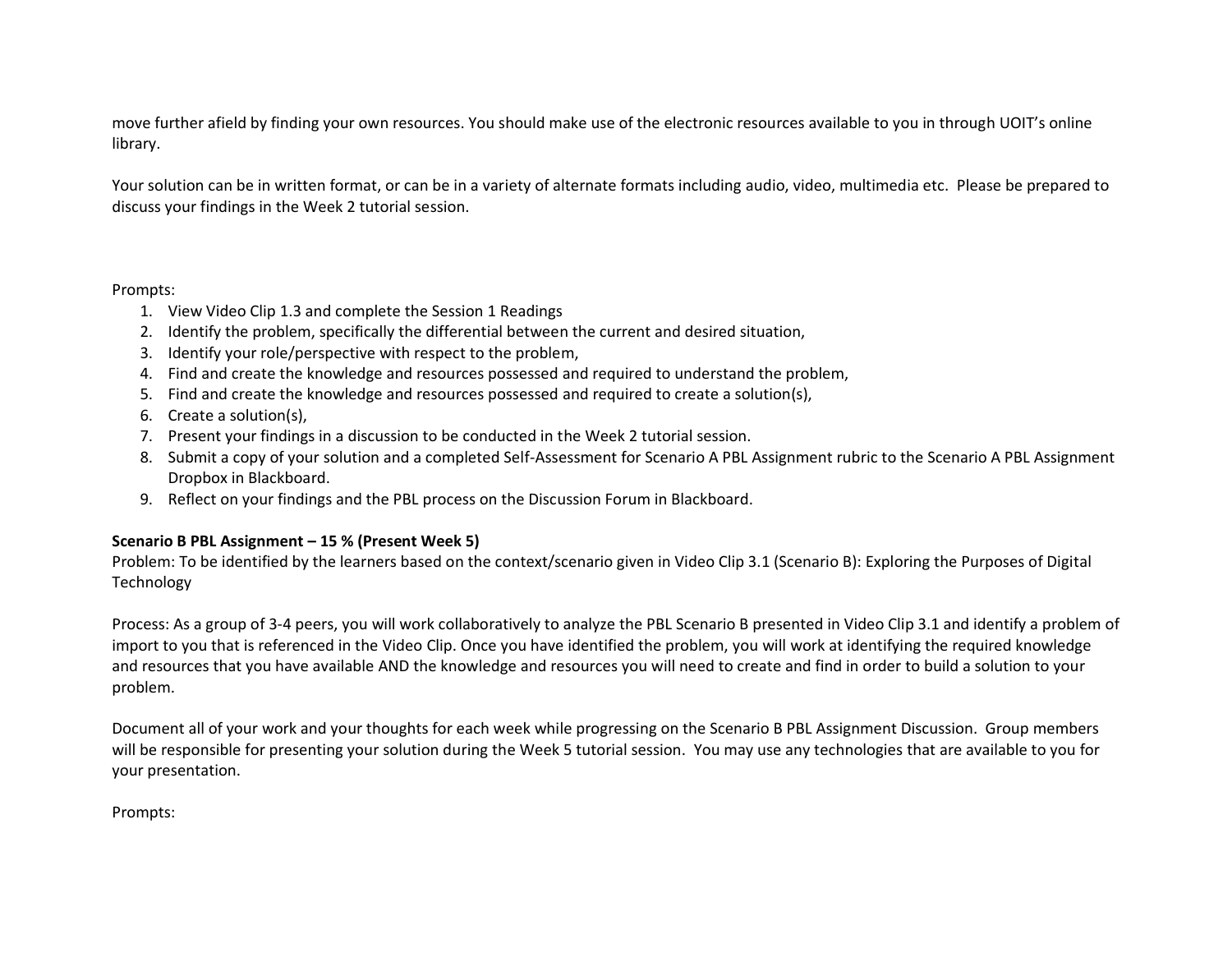move further afield by finding your own resources. You should make use of the electronic resources available to you in through UOIT's online library.

Your solution can be in written format, or can be in a variety of alternate formats including audio, video, multimedia etc. Please be prepared to discuss your findings in the Week 2 tutorial session.

#### Prompts:

- 1. View Video Clip 1.3 and complete the Session 1 Readings
- 2. Identify the problem, specifically the differential between the current and desired situation,
- 3. Identify your role/perspective with respect to the problem,
- 4. Find and create the knowledge and resources possessed and required to understand the problem,
- 5. Find and create the knowledge and resources possessed and required to create a solution(s),
- 6. Create a solution(s),
- 7. Present your findings in a discussion to be conducted in the Week 2 tutorial session.
- 8. Submit a copy of your solution and a completed Self-Assessment for Scenario A PBL Assignment rubric to the Scenario A PBL Assignment Dropbox in Blackboard.
- 9. Reflect on your findings and the PBL process on the Discussion Forum in Blackboard.

### **Scenario B PBL Assignment – 15 % (Present Week 5)**

Problem: To be identified by the learners based on the context/scenario given in Video Clip 3.1 (Scenario B): Exploring the Purposes of Digital Technology

Process: As a group of 3-4 peers, you will work collaboratively to analyze the PBL Scenario B presented in Video Clip 3.1 and identify a problem of import to you that is referenced in the Video Clip. Once you have identified the problem, you will work at identifying the required knowledge and resources that you have available AND the knowledge and resources you will need to create and find in order to build a solution to your problem.

Document all of your work and your thoughts for each week while progressing on the Scenario B PBL Assignment Discussion. Group members will be responsible for presenting your solution during the Week 5 tutorial session. You may use any technologies that are available to you for your presentation.

Prompts: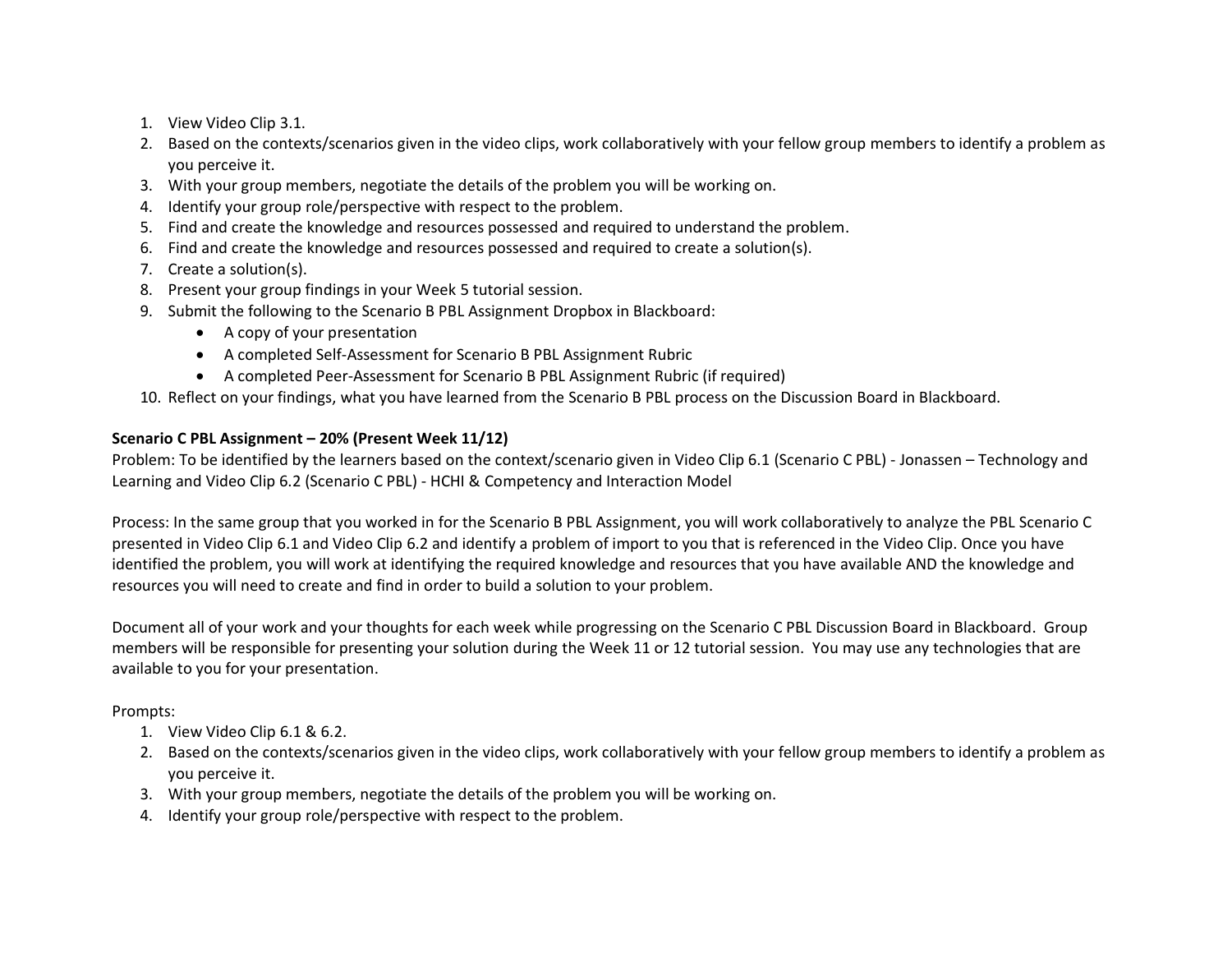- 1. View Video Clip 3.1.
- 2. Based on the contexts/scenarios given in the video clips, work collaboratively with your fellow group members to identify a problem as you perceive it.
- 3. With your group members, negotiate the details of the problem you will be working on.
- 4. Identify your group role/perspective with respect to the problem.
- 5. Find and create the knowledge and resources possessed and required to understand the problem.
- 6. Find and create the knowledge and resources possessed and required to create a solution(s).
- 7. Create a solution(s).
- 8. Present your group findings in your Week 5 tutorial session.
- 9. Submit the following to the Scenario B PBL Assignment Dropbox in Blackboard:
	- A copy of your presentation
	- A completed Self-Assessment for Scenario B PBL Assignment Rubric
	- A completed Peer-Assessment for Scenario B PBL Assignment Rubric (if required)

10. Reflect on your findings, what you have learned from the Scenario B PBL process on the Discussion Board in Blackboard.

# **Scenario C PBL Assignment – 20% (Present Week 11/12)**

Problem: To be identified by the learners based on the context/scenario given in Video Clip 6.1 (Scenario C PBL) - Jonassen – Technology and Learning and Video Clip 6.2 (Scenario C PBL) - HCHI & Competency and Interaction Model

Process: In the same group that you worked in for the Scenario B PBL Assignment, you will work collaboratively to analyze the PBL Scenario C presented in Video Clip 6.1 and Video Clip 6.2 and identify a problem of import to you that is referenced in the Video Clip. Once you have identified the problem, you will work at identifying the required knowledge and resources that you have available AND the knowledge and resources you will need to create and find in order to build a solution to your problem.

Document all of your work and your thoughts for each week while progressing on the Scenario C PBL Discussion Board in Blackboard. Group members will be responsible for presenting your solution during the Week 11 or 12 tutorial session. You may use any technologies that are available to you for your presentation.

# Prompts:

- 1. View Video Clip 6.1 & 6.2.
- 2. Based on the contexts/scenarios given in the video clips, work collaboratively with your fellow group members to identify a problem as you perceive it.
- 3. With your group members, negotiate the details of the problem you will be working on.
- 4. Identify your group role/perspective with respect to the problem.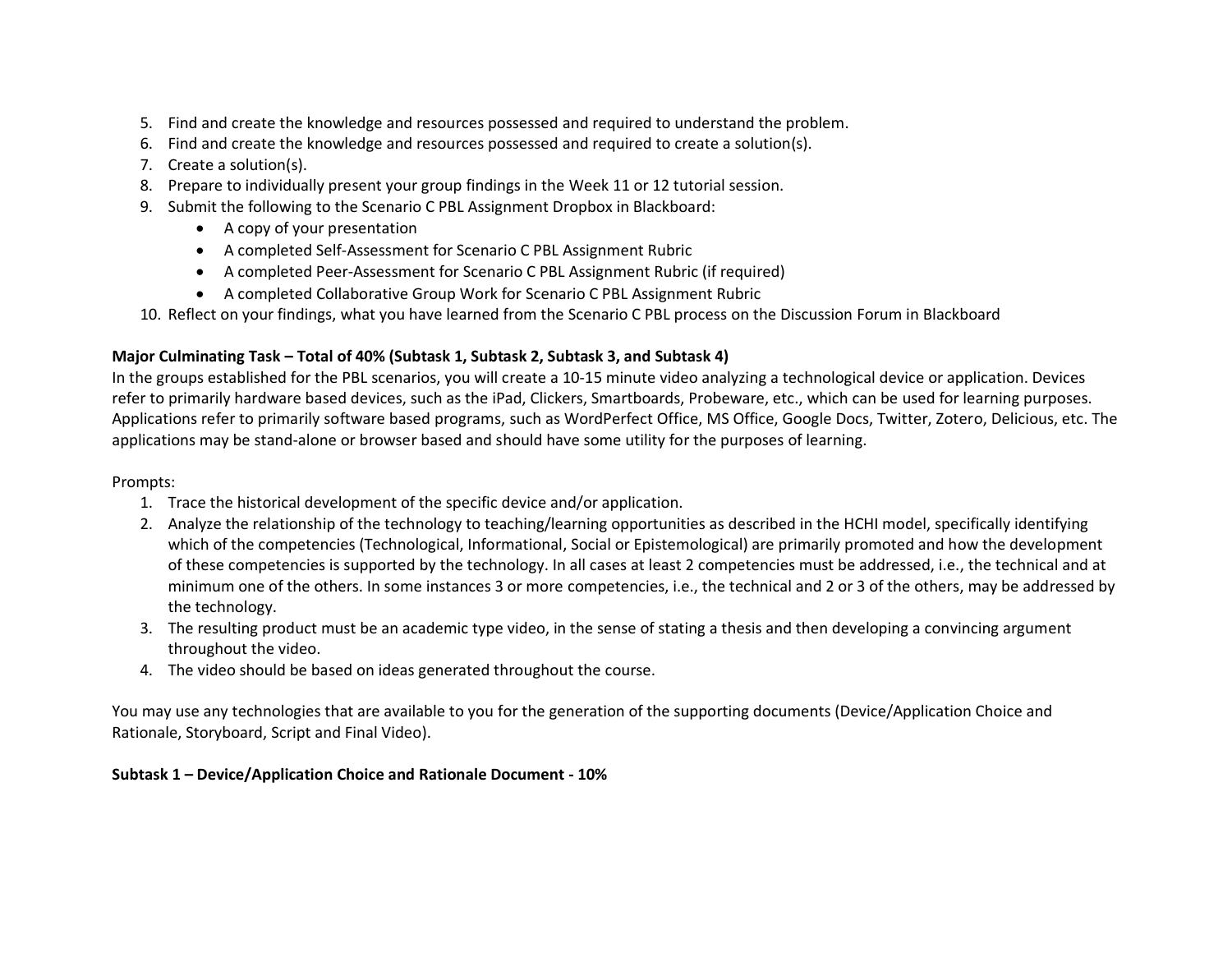- 5. Find and create the knowledge and resources possessed and required to understand the problem.
- 6. Find and create the knowledge and resources possessed and required to create a solution(s).
- 7. Create a solution(s).
- 8. Prepare to individually present your group findings in the Week 11 or 12 tutorial session.
- 9. Submit the following to the Scenario C PBL Assignment Dropbox in Blackboard:
	- A copy of your presentation
	- A completed Self-Assessment for Scenario C PBL Assignment Rubric
	- A completed Peer-Assessment for Scenario C PBL Assignment Rubric (if required)
	- A completed Collaborative Group Work for Scenario C PBL Assignment Rubric

10. Reflect on your findings, what you have learned from the Scenario C PBL process on the Discussion Forum in Blackboard

# **Major Culminating Task – Total of 40% (Subtask 1, Subtask 2, Subtask 3, and Subtask 4)**

In the groups established for the PBL scenarios, you will create a 10-15 minute video analyzing a technological device or application. Devices refer to primarily hardware based devices, such as the iPad, Clickers, Smartboards, Probeware, etc., which can be used for learning purposes. Applications refer to primarily software based programs, such as WordPerfect Office, MS Office, Google Docs, Twitter, Zotero, Delicious, etc. The applications may be stand-alone or browser based and should have some utility for the purposes of learning.

# Prompts:

- 1. Trace the historical development of the specific device and/or application.
- 2. Analyze the relationship of the technology to teaching/learning opportunities as described in the HCHI model, specifically identifying which of the competencies (Technological, Informational, Social or Epistemological) are primarily promoted and how the development of these competencies is supported by the technology. In all cases at least 2 competencies must be addressed, i.e., the technical and at minimum one of the others. In some instances 3 or more competencies, i.e., the technical and 2 or 3 of the others, may be addressed by the technology.
- 3. The resulting product must be an academic type video, in the sense of stating a thesis and then developing a convincing argument throughout the video.
- 4. The video should be based on ideas generated throughout the course.

You may use any technologies that are available to you for the generation of the supporting documents (Device/Application Choice and Rationale, Storyboard, Script and Final Video).

### **Subtask 1 – Device/Application Choice and Rationale Document - 10%**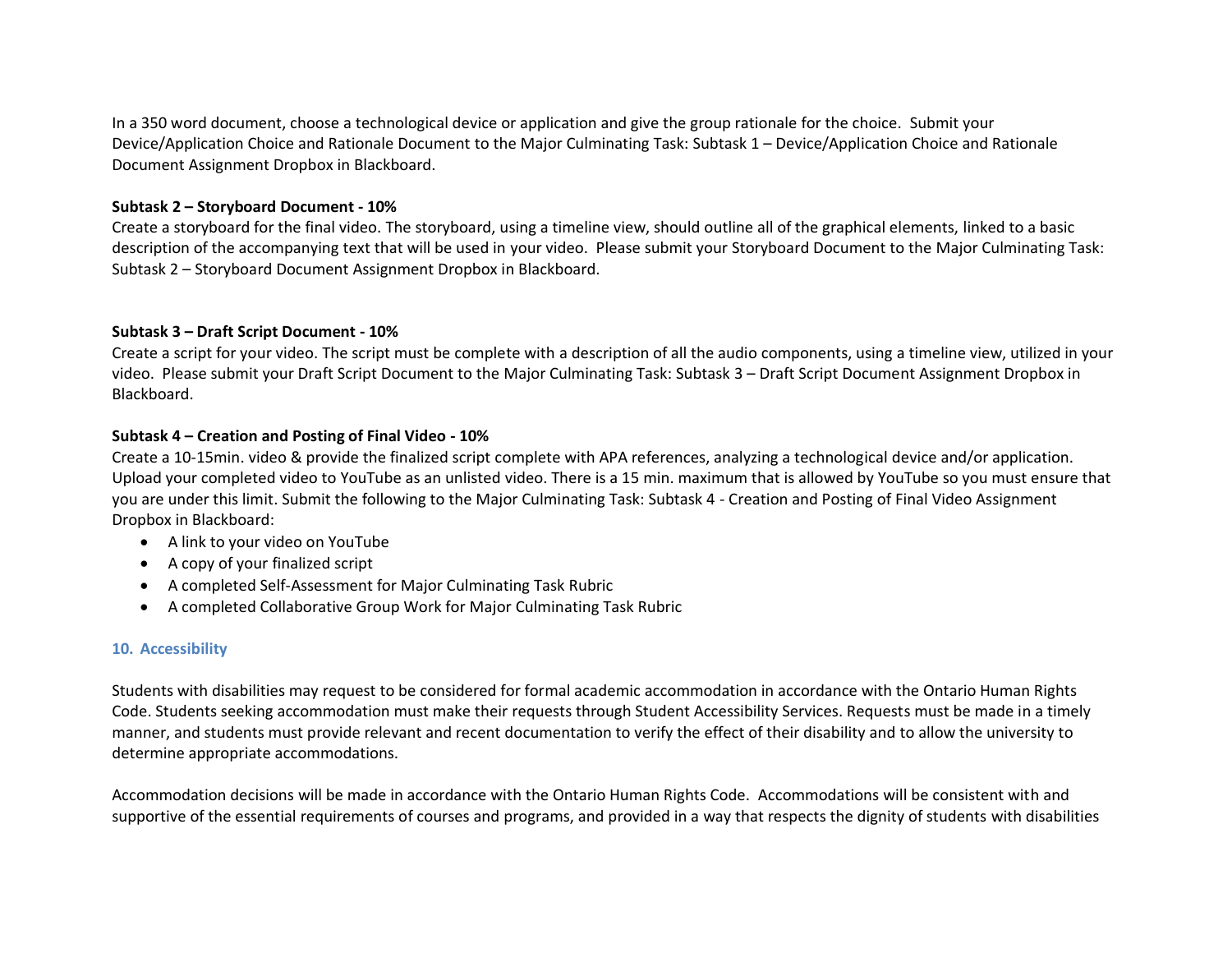In a 350 word document, choose a technological device or application and give the group rationale for the choice. Submit your Device/Application Choice and Rationale Document to the Major Culminating Task: Subtask 1 – Device/Application Choice and Rationale Document Assignment Dropbox in Blackboard.

#### **Subtask 2 – Storyboard Document - 10%**

Create a storyboard for the final video. The storyboard, using a timeline view, should outline all of the graphical elements, linked to a basic description of the accompanying text that will be used in your video. Please submit your Storyboard Document to the Major Culminating Task: Subtask 2 – Storyboard Document Assignment Dropbox in Blackboard.

#### **Subtask 3 – Draft Script Document - 10%**

Create a script for your video. The script must be complete with a description of all the audio components, using a timeline view, utilized in your video. Please submit your Draft Script Document to the Major Culminating Task: Subtask 3 – Draft Script Document Assignment Dropbox in Blackboard.

#### **Subtask 4 – Creation and Posting of Final Video - 10%**

Create a 10-15min. video & provide the finalized script complete with APA references, analyzing a technological device and/or application. Upload your completed video to YouTube as an unlisted video. There is a 15 min. maximum that is allowed by YouTube so you must ensure that you are under this limit. Submit the following to the Major Culminating Task: Subtask 4 - Creation and Posting of Final Video Assignment Dropbox in Blackboard:

- A link to your video on YouTube
- A copy of your finalized script
- A completed Self-Assessment for Major Culminating Task Rubric
- A completed Collaborative Group Work for Major Culminating Task Rubric

### **10. Accessibility**

Students with disabilities may request to be considered for formal academic accommodation in accordance with the Ontario Human Rights Code. Students seeking accommodation must make their requests through Student Accessibility Services. Requests must be made in a timely manner, and students must provide relevant and recent documentation to verify the effect of their disability and to allow the university to determine appropriate accommodations.

Accommodation decisions will be made in accordance with the Ontario Human Rights Code. Accommodations will be consistent with and supportive of the essential requirements of courses and programs, and provided in a way that respects the dignity of students with disabilities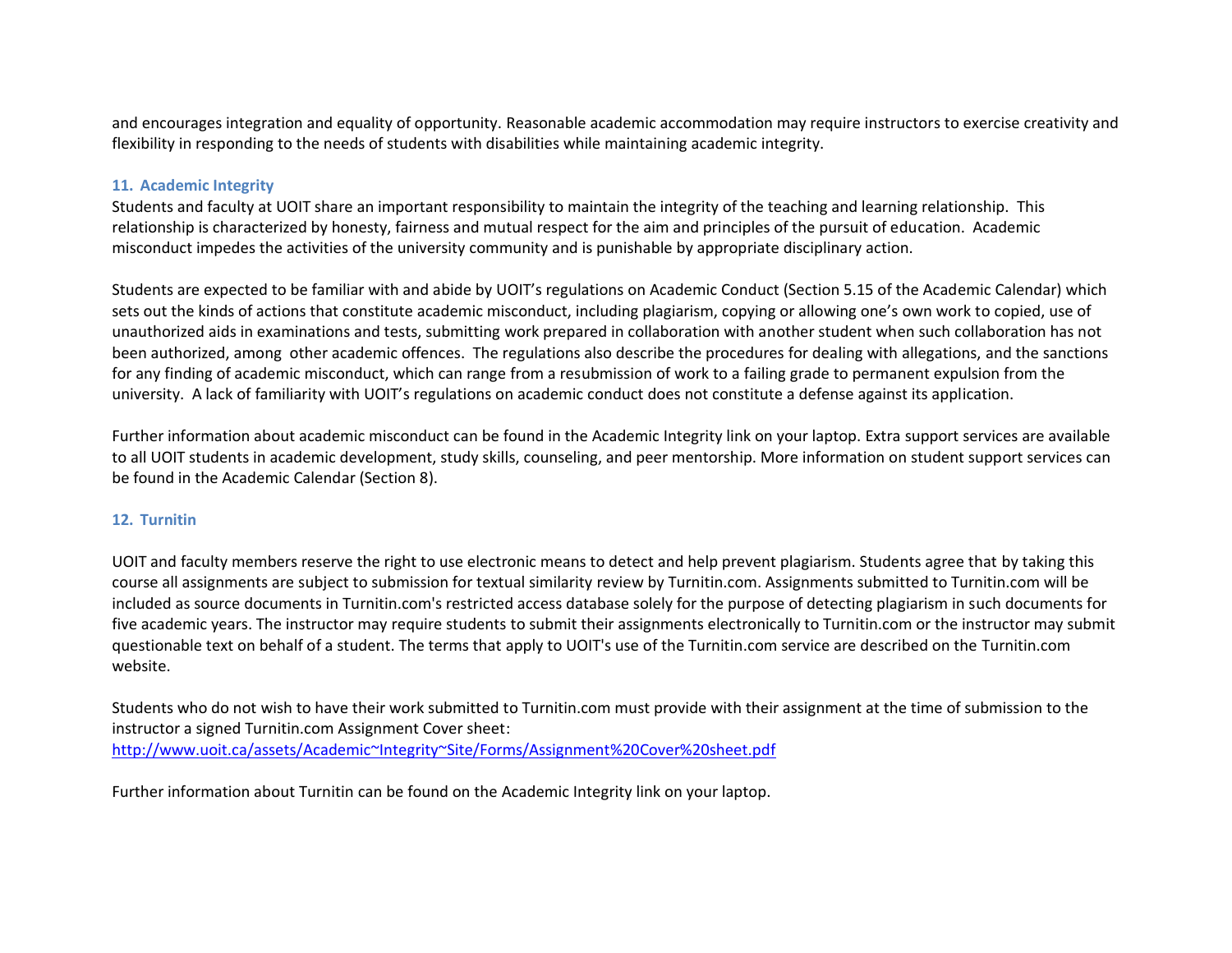and encourages integration and equality of opportunity. Reasonable academic accommodation may require instructors to exercise creativity and flexibility in responding to the needs of students with disabilities while maintaining academic integrity.

#### **11. Academic Integrity**

Students and faculty at UOIT share an important responsibility to maintain the integrity of the teaching and learning relationship. This relationship is characterized by honesty, fairness and mutual respect for the aim and principles of the pursuit of education. Academic misconduct impedes the activities of the university community and is punishable by appropriate disciplinary action.

Students are expected to be familiar with and abide by UOIT's regulations on Academic Conduct (Section 5.15 of the Academic Calendar) which sets out the kinds of actions that constitute academic misconduct, including plagiarism, copying or allowing one's own work to copied, use of unauthorized aids in examinations and tests, submitting work prepared in collaboration with another student when such collaboration has not been authorized, among other academic offences. The regulations also describe the procedures for dealing with allegations, and the sanctions for any finding of academic misconduct, which can range from a resubmission of work to a failing grade to permanent expulsion from the university. A lack of familiarity with UOIT's regulations on academic conduct does not constitute a defense against its application.

Further information about academic misconduct can be found in the Academic Integrity link on your laptop. Extra support services are available to all UOIT students in academic development, study skills, counseling, and peer mentorship. More information on student support services can be found in the Academic Calendar (Section 8).

#### **12. Turnitin**

UOIT and faculty members reserve the right to use electronic means to detect and help prevent plagiarism. Students agree that by taking this course all assignments are subject to submission for textual similarity review by Turnitin.com. Assignments submitted to Turnitin.com will be included as source documents in Turnitin.com's restricted access database solely for the purpose of detecting plagiarism in such documents for five academic years. The instructor may require students to submit their assignments electronically to Turnitin.com or the instructor may submit questionable text on behalf of a student. The terms that apply to UOIT's use of the Turnitin.com service are described on the Turnitin.com website.

Students who do not wish to have their work submitted to Turnitin.com must provide with their assignment at the time of submission to the instructor a signed Turnitin.com Assignment Cover sheet: <http://www.uoit.ca/assets/Academic~Integrity~Site/Forms/Assignment%20Cover%20sheet.pdf>

Further information about Turnitin can be found on the Academic Integrity link on your laptop.